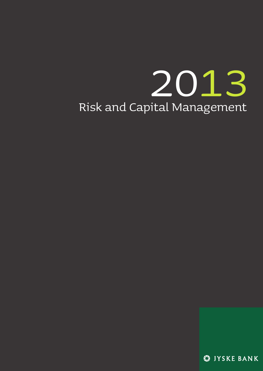# Risk and Capital Management 2013

SIYSKE BANK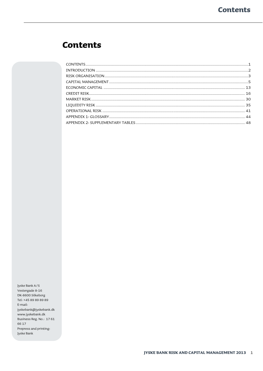# <span id="page-2-0"></span>**Contents**

Jyske Bank A/S Vestergade 8-16 DK-8600 Silkeborg Tel: +45 89 89 89 89 E-mail: jyskebank@jyskebank.dk www.jyskebank.dk Business Reg. No.: 1761 66 17 Prepress and printing: Jyske Bank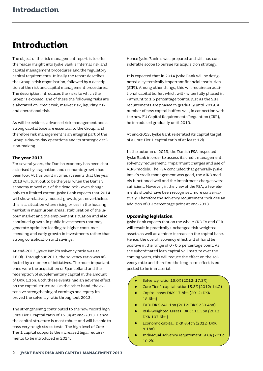# <span id="page-3-0"></span>**Introduction**

The object of the risk management report is to offer the reader insight into Jyske Bank's internal risk and capital management procedures and the regulatory capital requirements. Initially the report describes the Group's risk organisation, followed by a description of the risk and capital management procedures. The description introduces the risks to which the Group is exposed, and of these the following risks are elaborated on: credit risk, market risk, liquidity risk and operational risk.

As will be evident, advanced risk management and a strong capital base are essential to the Group, and therefore risk management is an integral part of the Group's day-to-day operations and its strategic decision-making.

# **The year 2013**

For several years, the Danish economy has been characterised by stagnation, and economic growth has been low. At this point in time, it seems that the year 2013 will turn out to be the year when the Danish economy moved out of the deadlock - even though only to a limited extent. Jyske Bank expects that 2014 will show relatively modest growth, yet nevertheless this is a situation where rising prices in the housing market in major urban areas, stabilisation of the labour market and the employment situation and also continued growth in public investments that may generate optimism leading to higher consumer spending and early growth in investments rather than strong consolidation and savings.

At end-2013, Jyske Bank's solvency ratio was at 16.0%. Throughout 2013, the solvency ratio was affected by a number of initiatives. The most important ones were the acquisition of Spar Lolland and the redemption of supplementary capital in the amount of DKK 1.1bn. Both these events had an adverse effect on the capital structure. On the other hand, the extensive strengthening of earnings and equity improved the solvency ratio throughout 2013.

The strengthening contributed to the now record high Core Tier 1 capital ratio of 15.3% at end-2013. Hence the capital structure is most robust and will be able to pass very tough stress tests. The high level of Core Tier 1 capital supports the increased legal requirements to be introduced in 2014.

Hence Jyske Bank is well prepared and still has considerable scope to pursue its acquisition strategy.

It is expected that in 2014 Jyske Bank will be designated a systemically important financial institution (SIFI). Among other things, this will require an additional capital buffer, which will - when fully phased in - amount to 1.5 percentage points. Just as the SIFI requirements are phased in gradually until 2019, a number of new capital buffers will, in connection with the new EU Capital Requirements Regulation (CRR), be introduced gradually until 2019.

At end-2013, Jyske Bank reiterated its capital target of a Core Tier 1 capital ratio of at least 12%.

In the autumn of 2013, the Danish FSA inspected Jyske Bank in order to assess its credit management, solvency requirement, impairment charges and use of AIRB models. The FSA concluded that generally Jyske Bank's credit management was good, the AIRB models functioned well and the impairment charges were sufficient. However, in the view of the FSA, a few elements should have been recognised more conservatively. Therefore the solvency requirement includes an addition of 0.2 percentage point at end-2013.

#### **Upcoming legislation**

Jyske Bank expects that on the whole CRD IV and CRR will result in practically unchanged risk-weighted assets as well as a minor increase in the capital base. Hence, the overall solvency effect will offhand be positive in the range of 0 - 0.5 percentage point. As the subordinated loan capital will mature over the coming years, this will reduce the effect on the solvency ratio and therefore the long-term effect is expected to be immaterial.

- $\bullet$ Solvency ratio: 16.0% (2012: 17.3%)
- Core Tier 1 capital ratio: 15.3% (2012: 14.2)
- $\bullet$ Capital base: DKK 17.8bn (2012: DKK 18.6bn)
- EAD: DKK 241.1bn (2012: DKK 230.4bn)
- Risk-weighted assets: DKK 111.3bn (2012: DKK 107.6bn)
- Economic capital: DKK 8.4bn (2012: DKK 8.1bn).
- Individual solvency requirement: 9.8% (2012: 10.2%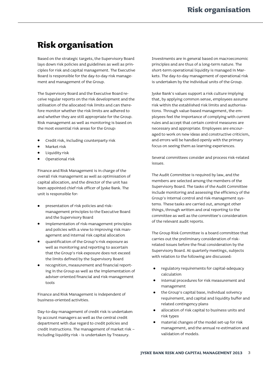# <span id="page-4-0"></span>**Risk organisation**

Based on the strategic targets, the Supervisory Board lays down risk policies and guidelines as well as principles for risk and capital management. The Executive Board is responsible for the day-to-day risk management and management of the Group.

The Supervisory Board and the Executive Board receive regular reports on the risk development and the utilisation of the allocated risk limits and can therefore monitor whether the risk limits are adhered to and whether they are still appropriate for the Group. Risk management as well as monitoring is based on the most essential risk areas for the Group:

- Credit risk, including counterparty risk
- Market risk
- Liquidity risk
- Operational risk

Finance and Risk Management is in charge of the overall risk management as well as optimisation of capital allocation, and the director of the unit has been appointed chief risk officer of Jyske Bank. The unit is responsible for:

- presentation of risk policies and riskmanagement principles to the Executive Board and the Supervisory Board
- implementation of risk-management principles and policies with a view to improving risk management and internal risk capital allocation
- quantification of the Group's risk exposure as well as monitoring and reporting to ascertain that the Group's risk exposure does not exceed the limits defined by the Supervisory Board
- recognition, measurement and financial reporting in the Group as well as the implementation of adviser-oriented financial and risk-management tools

Finance and Risk Management is independent of business-oriented activities.

Day-to-day management of credit risk is undertaken by account managers as well as the central credit department with due regard to credit policies and credit instructions. The management of market risk – including liquidity risk - is undertaken by Treasury.

Investments are in general based on macroeconomic principles and are thus of a long-term nature. The short-term operational liquidity is managed in Markets. The day-to-day management of operational risk is undertaken by the individual units of the Group.

Jyske Bank's values support a risk culture implying that, by applying common sense, employees assume risk within the established risk limits and authorisations. Through value-based management, the employees feel the importance of complying with current rules and accept that certain control measures are necessary and appropriate. Employees are encouraged to work on new ideas and constructive criticism, and errors will be handled openly with the primary focus on seeing them as learning experiences.

Several committees consider and process risk-related issues.

The Audit Committee is required by law, and the members are selected among the members of the Supervisory Board. The tasks of the Audit Committee include monitoring and assessing the efficiency of the Group's internal control and risk-management systems. These tasks are carried out, amongst other things, through written and oral reporting to the committee as well as the committee's consideration of the relevant audit reports.

The Group Risk Committee is a board committee that carries out the preliminary consideration of riskrelated issues before the final consideration by the Supervisory Board. At quarterly meetings, subjects with relation to the following are discussed:

- regulatory requirements for capital-adequacy calculation
- internal procedures for risk measurement and management
- the Group's capital base, individual solvency requirement, and capital and liquidity buffer and related contingency plans
- allocation of risk capital to business units and risk types
- material changes of the model set-up for risk management, and the annual re-estimation and validation of models.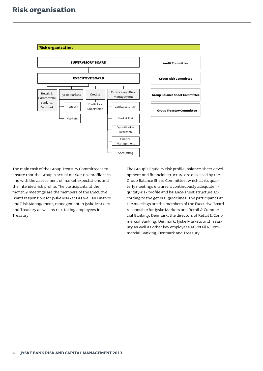

The main task of the Group Treasury Committee is to ensure that the Group's actual market risk profile is in line with the assessment of market expectations and the intended risk profile. The participants at the monthly meetings are the members of the Executive Board responsible for Jyske Markets as well as Finance and Risk Management, management in Jyske Markets and Treasury as well as risk-taking employees in Treasury.

The Group's liquidity risk profile, balance-sheet development and financial structure are assessed by the Group Balance Sheet Committee, which at its quarterly meetings ensures a continuously adequate liquidity-risk profile and balance-sheet structure according to the general guidelines. The participants at the meetings are the members of the Executive Board responsible for Jyske Markets and Retail & Commercial Banking, Denmark, the directors of Retail & Commercial Banking, Denmark, Jyske Markets and Treasury as well as other key employees at Retail & Commercial Banking, Denmark and Treasury.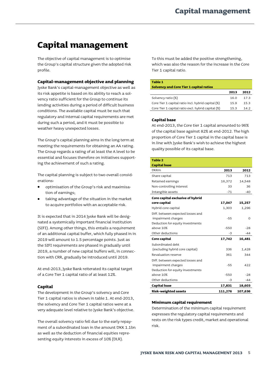# <span id="page-6-0"></span>**Capital management**

The objective of capital management is to optimise the Group's capital structure given the adopted risk profile.

# **Capital-management objective and planning**

Jyske Bank's capital-management objective as well as its risk appetite is based on its ability to reach a solvency ratio sufficient for the Group to continue its lending activities during a period of difficult business conditions. The available capital must be such that regulatory and internal capital requirements are met during such a period, and it must be possible to weather heavy unexpected losses.

The Group's capital planning aims in the long term at meeting the requirements for obtaining an AA rating. The Group regards a rating of at least the A level to be essential and focuses therefore on initiatives supporting the achievement of such a rating.

The capital planning is subject to two overall considerations:

- optimisation of the Group's risk and maximisation of earnings;
- taking advantage of the situation in the market to acquire portfolios with an acceptable risk.

It is expected that in 2014 Jyske Bank will be designated a systemically important financial institution (SIFI). Among other things, this entails a requirement of an additional capital buffer, which fully phased in in 2019 will amount to 1.5 percentage points. Just as the SIFI requirements are phased in gradually until 2019, a number of new capital buffers will, in connection with CRR, gradually be introduced until 2019.

At end-2013, Jyske Bank reiterated its capital target of a Core Tier 1 capital ratio of at least 12%.

# **Capital**

The development in the Group's solvency and Core Tier 1 capital ratios is shown in table 1. At end-2013, the solvency and Core Tier 1 capital ratios were at a very adequate level relative to Jyske Bank's objective.

The overall solvency ratio fell due to the early repayment of a subordinated loan in the amount DKK 1.1bn as well as the deduction of financial equities representing equity interests in excess of 10% (DLR).

To this must be added the positive strengthening, which was also the reason for the increase in the Core Tier 1 capital ratio.

#### **Table 1 Solvency and Core Tier 1 capital ratios**

|                                                    | 2013 | 2012 |
|----------------------------------------------------|------|------|
| Solvency ratio (%)                                 | 16 O | 173  |
| Core Tier 1 capital ratio incl. hybrid capital (%) | 159  | 153  |
| Core Tier 1 capital ratio excl. hybrid capital (%) | 153  | 14.2 |

# **Capital base**

At end-2013, the Core tier 1 capital amounted to 96% of the capital base against 82% at end-2012. The high proportion of Core Tier 1 capital in the capital base is in line with Jyske Bank's wish to achieve the highest quality possible of its capital base.

# **Table 2 Capital base** DKKm **2013 2012** Share capital 50 and 713 713 Retained earnings 16,372 14,548 Non-controlling interest 33 36 Intangible assets  $-71$  -40 **Core capital exclusive of hybrid core capital 17,047 15,257** Hybrid core capital 1,303 1,296 Diff. between expected losses and impairment charges and the set of the set of the set of the set of the set of the set of the set of the set of the set of the set of the set of the set of the set of the set of the set of the set of the set of the set of t Deduction for equity investments above 10% -550 -28 Other deductions  $-3$  -44 **Core capital 17,742 16,481** Subordinated debt (excluding hybrid core capital) 336 1,428 Revaluation reserve 361 344 Diff. between expected losses and impairment charges and the set of the set of the set of the set of the set of the set of the set of the set of the set of the set of the set of the set of the set of the set of the set of the set of the set of the set of t Deduction for equity investments above 10% -550 -28 Other deductions  $-3$  -44 **Capital base 17,831 18,603 Risk-weighted assets 111,276 107,636**

# **Minimum capital requirement**

Determination of the minimum capital requirement expresses the regulatory capital requirements and rests on the risk types credit, market and operational risk.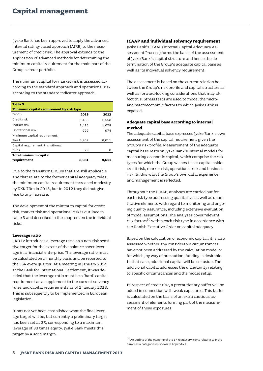Jyske Bank has been approved to apply the advanced internal rating-based approach (AIRB) to the measurement of credit risk. The approval extends to the application of advanced methods for determining the minimum capital requirement for the main part of the Group's credit portfolio.

The minimum capital for market risk is assessed according to the standard approach and operational risk according to the standard indicator approach.

| Table 3                                  |       |       |  |  |  |  |  |
|------------------------------------------|-------|-------|--|--|--|--|--|
| Minimum capital requirement by risk type |       |       |  |  |  |  |  |
| <b>DKKm</b>                              | 2013  | 2012  |  |  |  |  |  |
| Credit risk                              | 6,488 | 6,558 |  |  |  |  |  |
| Market risk                              | 1,415 | 1,079 |  |  |  |  |  |
| Operational risk                         | 999   | 974   |  |  |  |  |  |
| Minimum capital requirement,             |       |       |  |  |  |  |  |
| Tier I                                   | 8,902 | 8,611 |  |  |  |  |  |
| Capital requirement, transitional        |       |       |  |  |  |  |  |
| rules                                    | 79    | Ω     |  |  |  |  |  |
| <b>Total minimum capital</b>             |       |       |  |  |  |  |  |
| requirement                              | 8,981 | 8,611 |  |  |  |  |  |

Due to the transitional rules that are still applicable and that relate to the former capital adequacy rules, the minimum capital requirement increased modestly by DKK 79m in 2013, but in 2012 they did not give rise to any increase.

The development of the minimum capital for credit risk, market risk and operational risk is outlined in table 3 and described in the chapters on the individual risks.

### **Leverage ratio**

CRD IV introduces a leverage ratio as a non-risk sensitive target for the extent of the balance sheet leverage in a financial enterprise. The leverage ratio must be calculated on a monthly basis and be reported to the FSA every quarter. At a meeting in January 2014 at the Bank for International Settlement, it was decided that the leverage ratio must be a 'hard' capital requirement as a supplement to the current solvency rules and capital requirements as of 1 January 2018. This is subsequently to be implemented in European legislation.

It has not yet been established what the final leverage target will be, but currently a preliminary target has been set at 3%, corresponding to a maximum leverage of 33 times equity. Jyske Bank meets this target by a solid margin.

### **ICAAP and individual solvency requirement**

Jyske Bank's ICAAP (Internal Capital Adequacy Assessment Process) forms the basis of the assessment of Jyske Bank's capital structure and hence the determination of the Group's adequate capital base as well as its individual solvency requirement.

The assessment is based on the current relation between the Group's risk profile and capital structure as well as forward-looking considerations that may affect this. Stress tests are used to model the microand macroeconomic factors to which Jyske Bank is exposed.

# **Adequate capital base according to internal method**

The adequate capital base expresses Jyske Bank's own assessment of the capital requirement given the Group's risk profile. Measurement of the adequate capital base rests on Jyske Bank's internal models for measuring economic capital, which comprise the risk types for which the Group wishes to set capital aside: credit risk, market risk, operational risk and business risk. In this way, the Group's own data, experience and management is reflected.

Throughout the ICAAP, analyses are carried out for each risk type addressing qualitative as well as quantitative elements with regard to monitoring and ongoing quality assurance, including extensive evaluation of model assumptions. The analyses cover relevant risk factors $[1]$  within each risk type in accordance with the Danish Executive Order on capital adequacy.

Based on the calculation of economic capital, it is also assessed whether any considerable circumstances have not been addressed by the calculation model or for which, by way of precaution, funding is desirable. In that case, additional capital will be set aside. The additional capital addresses the uncertainty relating to specific circumstances and the model setup.

In respect of credit risk, a precautionary buffer will be added in connection with weak exposures. This buffer is calculated on the basis of an extra cautious assessment of elements forming part of the measurement of these exposures.

 $\left[^{11}\right]$  An outline of the mapping of the 17 regulatory items relating to Jyske Bank's risk categories is shown in Appendix 2.

 $\overline{a}$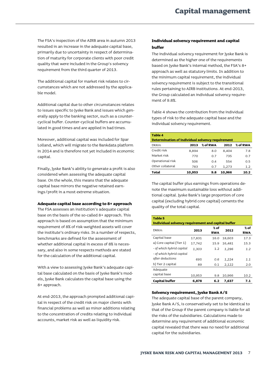The FSA's inspection of the AIRB area in autumn 2013 resulted in an increase in the adequate capital base, primarily due to uncertainty in respect of determination of maturity for corporate clients with poor credit quality that were included in the Group's solvency requirement from the third quarter of 2013.

The additional capital for market risk relates to circumstances which are not addressed by the applicable model.

Additional capital due to other circumstances relates to issues specific to Jyske Bank and issues which generally apply to the banking sector, such as a countercyclical buffer. Counter-cyclical buffers are accumulated in good times and are applied in bad times.

Moreover, additional capital was included for Spar Lolland, which will migrate to the Bankdata platform in 2014 and is therefore not yet included in economic capital.

Finally, Jyske Bank's ability to generate a profit is also considered when assessing the adequate capital base. On the whole, this means that the adequate capital base mirrors the negative retained earnings/profit in a most extreme situation.

#### **Adequate capital base according to 8+ approach**

The FSA assesses an institution's adequate capital base on the basis of the so-called 8+ approach. This approach is based on assumption that the minimum requirement of 8% of risk-weighted assets will cover the institute's ordinary risks. In a number of respects, benchmarks are defined for the assessment of whether additional capital in excess of 8% is necessary, and also in some respects methods are stated for the calculation of the additional capital.

With a view to assessing Jyske Bank's adequate capital base calculated on the basis of Jyske Bank's models, Jyske Bank calculates the capital base using the 8+ approach.

At end-2013, the approach prompted additional capital in respect of the credit risk on major clients with financial problems as well as minor additions relating to the concentration of credits relating to individual accounts, market risk as well as liquidity risk.

# **Individual solvency requirement and capital buffer**

The individual solvency requirement for Jyske Bank is determined as the higher one of the requirements based on Jyske Bank's internal method, the FSA's 8+ approach as well as statutory limits. In addition to the minimum capital requirement, the individual solvency requirement is subject to the transitional rules pertaining to AIRB institutions. At end-2013, the Group calculated an individual solvency requirement of 9.8%.

Table 4 shows the contribution from the individual types of risk to the adequate capital base and the individual solvency requirement.

| Table 4                                          |        |          |        |          |  |  |
|--------------------------------------------------|--------|----------|--------|----------|--|--|
| Determination of individual solvency requirement |        |          |        |          |  |  |
| <b>DKKm</b>                                      | 2013   | % of RWA | 2012   | % of RWA |  |  |
| Credit risk                                      | 8,894  | 8.0      | 8,404  | 7.8      |  |  |
| Market risk                                      | 770    | 0.7      | 735    | 0.7      |  |  |
| Operational risk                                 | 506    | 04       | 554    | 0.5      |  |  |
| Other collateral                                 | 783    | 0.7      | 1,273  | 1.2      |  |  |
| Total                                            | 10.953 | 9.8      | 10,966 | 10.2     |  |  |

The capital buffer plus earnings from operations denote the maximum sustainable loss without additional capital. Jyske Bank's large proportion of core capital (excluding hybrid core capital) cements the quality of the total capital.

| <b>Table 5</b>                                     |        |            |        |            |  |  |  |
|----------------------------------------------------|--------|------------|--------|------------|--|--|--|
| Individual solvency requirement and capital buffer |        |            |        |            |  |  |  |
| <b>DKKm</b>                                        | 2013   | % of       | 2012   | % of       |  |  |  |
|                                                    |        | <b>RWA</b> |        | <b>RWA</b> |  |  |  |
| Capital base                                       | 17,831 | 16.0       | 18,603 | 17.3       |  |  |  |
| a) Core capital (Tier 1)                           | 17,742 | 15.9       | 16,481 | 15.3       |  |  |  |
| - of which hybrid capital                          | 1,303  | 1.2        | 1,296  | 1.2        |  |  |  |
| - of which hybrid capital                          |        |            |        |            |  |  |  |
| after deductions                                   | 695    | 0.6        | 1,224  | 1.1        |  |  |  |
| b) Tier 2 capital                                  | 89     | 0.1        | 2,122  | 2.0        |  |  |  |
| Adequate                                           |        |            |        |            |  |  |  |
| capital base                                       | 10,953 | 9.8        | 10,966 | 10.2       |  |  |  |
| <b>Capital buffer</b>                              | 6,878  | 6.2        | 7.637  | 7.1        |  |  |  |

#### **Solvency requirement, Jyske Bank A/S**

The adequate capital base of the parent company, Jyske Bank A/S, is conservatively set to be identical to that of the Group if the parent company is liable for all the risks of the subsidiaries. Calculations made to determine any requirement of additional economic capital revealed that there was no need for additional capital for the subsidiaries.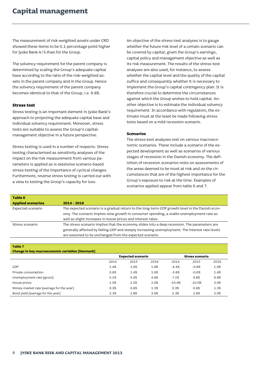The measurement of risk-weighted assets under CRD showed these items to be 0.1 percentage point higher for Jyske Bank A/S than for the Group.

The solvency requirement for the parent company is determined by scaling the Group's adequate capital base according to the ratio of the risk-weighted assets in the parent company and in the Group. Hence the solvency requirement of the parent company becomes identical to that of the Group, i.e. 9.8%.

# **Stress test**

Stress testing is an important element in Jyske Bank's approach to projecting the adequate capital base and individual solvency requirement. Moreover, stress tests are suitable to assess the Group's capitalmanagement objective in a future perspective.

Stress testing is used in a number of respects. Stress testing characterised as sensitivity analyses of the impact on the risk measurement from various parameters is applied as is extensive scenario-based stress-testing of the importance of cyclical changes. Furthermore, reverse stress testing is carried out with a view to testing the Group's capacity for loss.

An objective of the stress-test analyses is to gauge whether the future risk level of a certain scenario can be covered by capital, given the Group's earnings, capital policy and management objective as well as its risk measurement. The results of the stress-test analyses are also used, for instance, to assess whether the capital level and the quality of the capital suffice and consequently whether it is necessary to implement the Group's capital contingency plan. It is therefore crucial to determine the circumstances against which the Group wishes to hold capital. Another objective is to estimate the individual solvency requirement. In accordance with regulation, the estimate must at the least be made following stress tests based on a mild recession scenario.

#### **Scenarios**

The stress-test analyses rest on various macroeconomic scenarios. These include a scenario of the expected development as well as scenarios of various stages of recession in the Danish economy. The definition of recession scenarios rests on assessments of the areas deemed to be most at risk and on the circumstances that are of the highest importance for the Group's exposure to risk at the time. Examples of scenarios applied appear from table 6 and 7.

| Table 6                  |                                                                                                 |
|--------------------------|-------------------------------------------------------------------------------------------------|
| <b>Applied scenarios</b> | $2014 - 2016$                                                                                   |
| Expected scenario        | The expected scenario is a gradual return to the long-term GDP growth level in the Danish econ- |
|                          | omy. The scenario implies slow growth in consumer spending, a stable unemployment rate as       |
|                          | well as slight increases in house prices and interest rates.                                    |
| Stress scenario          | The stress scenario implies that the economy slides into a deep recession. The parameters are   |
|                          | generally affected by falling GDP and steeply increasing unemployment. The interest rate levels |
|                          | are assumed to be unchanged from the expected scenario.                                         |

#### **Table 7**

#### **Change in key macroeconomic variables (Denmark)**

|                                          | <b>Expected scenario</b> |      |      | <b>Stress scenario</b> |          |      |
|------------------------------------------|--------------------------|------|------|------------------------|----------|------|
|                                          | 2014                     | 2015 | 2016 | 2014                   | 2015     | 2016 |
| GDP                                      | 1.4%                     | 1.6% | 1.8% | $-4.4%$                | $-0.8%$  | 1.9% |
| Private consumption                      | 0.6%                     | 1.4% | 1.6% | $-3.8%$                | $-0.6%$  | 1.4% |
| Unemployment rate (gross)                | 5.1%                     | 5.0% | 4.8% | 7.1%                   | 9.8%     | 9.8% |
| House prices                             | 1.5%                     | 2.5% | 2.0% | $-10.9%$               | $-10.0%$ | 3.0% |
| Money-market rate (average for the year) | 0.3%                     | 0.8% | 1.3% | 0.3%                   | 0.8%     | 1.3% |
| Bond yield (average for the year)        | 2.3%                     | 2.8% | 3.0% | 2.3%                   | 2.8%     | 3.0% |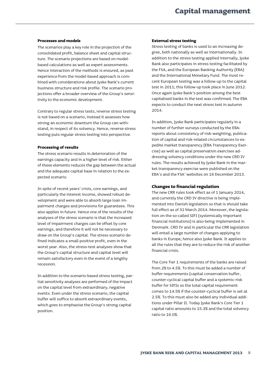#### **Processes and models**

The scenarios play a key role in the projection of the consolidated profit, balance sheet and capital structure. The scenario projections are based on modelbased calculations as well as expert assessments. Hence interaction of the methods is ensured, as past experience from the model-based approach is combined with considerations about Jyske Bank's current business structure and risk profile. The scenario projections offer a broader overview of the Group's sensitivity to the economic development.

Contrary to regular stress tests, reverse stress testing is not based on a scenario; instead it assesses how strong an economic downturn the Group can withstand, in respect of its solvency. Hence, reverse stress testing puts regular stress testing into perspective.

#### **Processing of results**

The stress scenario results in deterioration of the earnings capacity and in a higher level of risk. Either of these elements reduces the gap between the actual and the adequate capital base in relation to the expected scenario.

In spite of recent years'crisis, core earnings, and particularly the interest income, showed robust development and were able to absorb large loan impairment charges and provisions for guarantees. This also applies in future. Hence one of the results of the analyses of the stress scenario is that the increased level of impairment charges can be offset by core earnings, and therefore it will not be necessary to draw on the Group's capital. The stress scenario defined indicates a small positive profit, even in the worst year. Also, the stress-test analyses show that the Group's capital structure and capital level will remain satisfactory even in the event of a lengthy recession.

In addition to the scenario-based stress testing, partial sensitivity analyses are performed of the impact on the capital level from extraordinary, negative events. Even under the stress scenario, the capital buffer will suffice to absorb extraordinary events, which goes to emphasise the Group's strong capital position.

#### **External stress testing**

Stress testing of banks is used to an increasing degree, both nationally as well as internationally. In addition to the stress testing applied internally, Jyske Bank also participates in stress testing facilitated by the FSA, and the European Banking Authority (EBA) and the International Monetary Fund. The most recent European testing was a follow-up to the capital test in 2011; this follow-up took place in June 2012. Once again Jyske Bank's position among the best capitalised banks in the test was confirmed. The EBA expects to conduct the next stress test in autumn 2014.

In addition, Jyske Bank participates regularly in a number of further surveys conducted by the EBA: reports about consistency of risk-weighting, publication of capital and risk-related circumstances to expedite market transparency (EBA Transparency Exercise) as well as capital preservation exercises addressing solvency conditions under the new CRD IV rules. The results achieved by Jyske Bank in the market transparency exercise were published on the EBA's and the FSA' websites on 16 December 2013.

#### **Changes to financial regulation**

The new CRR rules took effect as of 1 January 2014, and currently the CRD IV directive is being implemented into Danish legislation so that is should take full effect as of 31 March 2014. Moreover, the legislation on the so-called SIFI (systemically important financial institutions) is also being implemented in Denmark. CRD IV and in particular the CRR legislation will entail a large number of changes applying to banks in Europe, hence also Jyske Bank. It applies to all the rules that they are to reduce the risk of another financial crisis.

The Core Tier 1 requirements of the banks are raised from 2% to 4.5%. To this must be added a number of buffer requirements (capital conservation buffer, counter-cyclical capital buffer and a systemic-risk buffer for SIFIs so the total capital requirement comes to 14.5% if the counter-cyclical buffer is set at 2.5%. To this must also be added any individual additions under Pillar II. Today Jyske Bank's Core Tier 1 capital ratio amounts to 15.3% and the total solvency ratio to 16.0%.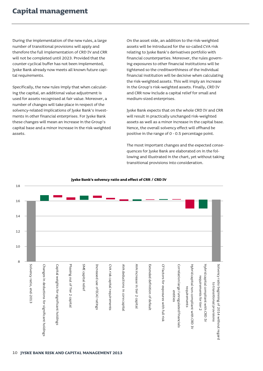During the implementation of the new rules, a large number of transitional provisions will apply and therefore the full implementation of CRD IV and CRR will not be completed until 2023. Provided that the counter-cyclical buffer has not been implemented, Jyske Bank already now meets all known future capital requirements.

Specifically, the new rules imply that when calculating the capital, an additional value adjustment is used for assets recognised at fair value. Moreover, a number of changes will take place in respect of the solvency-related implications of Jyske Bank's investments in other financial enterprises. For Jyske Bank these changes will mean an increase in the Group's capital base and a minor increase in the risk-weighted assets.

On the asset side, an addition to the risk-weighted assets will be introduced for the so-called CVA risk relating to Jyske Bank's derivatives portfolio with financial counterparties. Moreover, the rules governing exposures to other financial institutions will be tightened so the creditworthiness of the individual financial institution will be decisive when calculating the risk-weighted assets. This will imply an increase in the Group's risk-weighted assets. Finally, CRD IV and CRR now include a capital relief for small and medium-sized enterprises.

Jyske Bank expects that on the whole CRD IV and CRR will result in practically unchanged risk-weighted assets as well as a minor increase in the capital base. Hence, the overall solvency effect will offhand be positive in the range of 0 - 0.5 percentage point.

The most important changes and the expected consequences for Jyske Bank are elaborated on in the following and illustrated in the chart, yet without taking transitional provisions into consideration.



#### **Jyske Bank's solvency ratio and effect of CRR / CRD IV**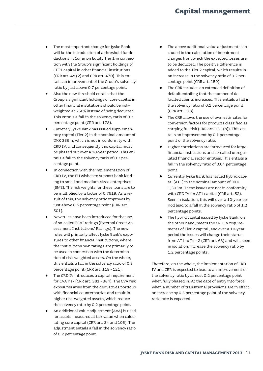- The most important change for Jyske Bank will be the introduction of a threshold for deductions in Common Equity Tier 1 in connection with the Group's significant holdings of CET1 capital in other financial institutions (CRR art. 48 (2) and CRR art. 470). This entails an improvement of the Group's solvency ratio by just above 0.7 percentage point.
- Also the new threshold entails that the Group's significant holdings of core capital in other financial institutions should be riskweighted at 250% instead of being deducted. This entails a fall in the solvency ratio of 0.3 percentage point (CRR art. 178).
- Currently Jyske Bank has issued supplementary capital (Tier 2) in the nominal amount of DKK 336m, which is not in conformity with CRD IV, and consequently this capital must be phased out over a 10-year period. This entails a fall in the solvency ratio of 0.3 percentage point.
- In connection with the implementation of CRD IV, the EU wishes to support bank lending to small and medium-sized enterprises (SME). The risk weights for these loans are to be multiplied by a factor of 0.7619. As a result of this, the solvency ratio improves by just above 0.5 percentage point (CRR art. 501).
- New rules have been introduced for the use of so-called ECAI ratings (External Credit Assessment Institutions' Ratings). The new rules will primarily affect Jyske Bank's exposures to other financial institutions, where the institutions own ratings are primarily to be used in connection with the determination of risk-weighted assets. On the whole, this entails a fall in the solvency ratio of 0.3 percentage point (CRR art. 119 - 121).
- The CRD IV introduces a capital requirement for CVA risk (CRR art. 381 - 384). The CVA risk exposures arise from the derivatives portfolio with financial counterparties and result in higher risk-weighted assets, which reduce the solvency ratio by 0.2 percentage point.
- An additional value adjustment (AVA) is used for assets measured at fair value when calculating core capital (CRR art. 34 and 105). The adjustment entails a fall in the solvency ratio of 0.2 percentage point.
- The above additional value adjustment is included in the calculation of impairment charges from which the expected losses are to be deducted. The positive difference is added to the Tier 2 capital, which results in an increase in the solvency ratio of 0.2 percentage point (CRR art. 159).
- The CRR includes an extended definition of default entailing that the number of defaulted clients increases. This entails a fall in the solvency ratio of 0.1 percentage point (CRR art. 178).
- The CRR allows the use of own estimates for conversion factors for products classified as carrying full risk (CRR art. 151 (8)). This entails an improvement by 0.1 percentage point of the solvency ratio.
- Higher correlations are introduced for large financial institutions and so-called unregulated financial sector entities. This entails a fall in the solvency ratio of 0.04 percentage point.
- Currently Jyske Bank has issued hybrid capital (AT1) in the nominal amount of DKK 1,303m. These issues are not in conformity with CRD IV for AT1 capital (CRR art. 52). Seen in isolation, this will over a 10-year period lead to a fall in the solvency ratio of 1.2 percentage points.
- The hybrid capital issued by Jyske Bank, on the other hand, meets the CRD IV requirements of Tier 2 capital, and over a 10-year period the issues will change their status from AT1 to Tier 2 (CRR art. 63) and will, seen in isolation, increase the solvency ratio by 1.2 percentage points.

Therefore, on the whole, the implementation of CRD IV and CRR is expected to lead to an improvement of the solvency ratio by almost 0.2 percentage point when fully phased in. At the date of entry into force when a number of transitional provisions are in effect, an increase by 0.5 percentage point of the solvency ratio rate is expected.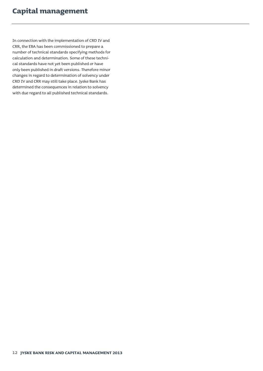In connection with the implementation of CRD IV and CRR, the EBA has been commissioned to prepare a number of technical standards specifying methods for calculation and determination. Some of these technical standards have not yet been published or have only been published in draft versions. Therefore minor changes in regard to determination of solvency under CRD IV and CRR may still take place. Jyske Bank has determined the consequences in relation to solvency with due regard to all published technical standards.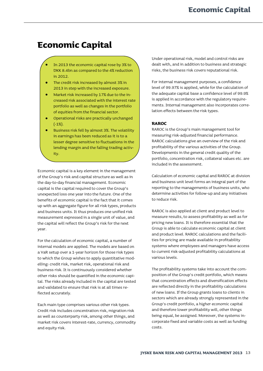# <span id="page-14-0"></span>**Economic Capital**

- In 2013 the economic capital rose by 3% to DKK 8.4bn as compared to the 4% reduction in 2012.
- The credit risk increased by almost 3% in 2013 in step with the increased exposure.
- Market risk increased by 17% due to the increased risk associated with the interest rate portfolio as well as changes in the portfolio of equities from the financial sector.
- Operational risks are practically unchanged (-1%).
- Business risk fell by almost 3%. The volatility in earnings has been reduced as it is to a lesser degree sensitive to fluctuations in the lending margin and the falling trading activity.

Economic capital is a key element in the management of the Group's risk and capital structure as well as in the day-to-day financial management. Economic capital is the capital required to cover the Group's unexpected loss one year into the future. One of the benefits of economic capital is the fact that it comes up with an aggregate figure for all risk types, products and business units. It thus produces one unified risk measurement expressed in a single unit of value, and the capital will reflect the Group's risk for the next year.

For the calculation of economic capital, a number of internal models are applied. The models are based on a VaR setup over a 1-year horizon for those risk types to which the Group wishes to apply quantitative modelling: credit risk, market risk, operational risk and business risk. It is continuously considered whether other risks should be quantified in the economic capital. The risks already included in the capital are tested and validated to ensure that risk is at all times reflected accurately.

Each main type comprises various other risk types. Credit risk includes concentration risk, migration risk as well as counterparty risk, among other things, and market risk covers interest-rate, currency, commodity and equity risk.

Under operational risk, model and control risks are dealt with, and in addition to business and strategic risks, the business risk covers reputational risk.

For internal management purposes, a confidence level of 99.97% is applied, while for the calculation of the adequate capital base a confidence level of 99.9% is applied in accordance with the regulatory requirements. Internal management also incorporates correlation effects between the risk types.

# **RAROC**

RAROC is the Group's main management tool for measuring risk-adjusted financial performance. RAROC calculations give an overview of the risk and profitability of the various activities of the Group. Developments in the general credit quality of the portfolio, concentration risk, collateral values etc. are included in the assessment.

Calculation of economic capital and RAROC at division and business unit level forms an integral part of the reporting to the managements of business units, who determine activities for follow-up and any initiatives to reduce risk.

RAROC is also applied at client and product level to measure results, to assess profitability as well as for pricing new loans. It is therefore essential that the Group is able to calculate economic capital at client and product level. RAROC calculations and the facilities for pricing are made available in profitability systems where employees and managers have access to current risk-adjusted profitability calculations at various levels.

The profitability systems take into account the composition of the Group's credit portfolio, which means that concentration effects and diversification effects are reflected directly in the profitability calculations of new loans. If the Group grants loans to clients in sectors which are already strongly represented in the Group's credit portfolio, a higher economic capital and therefore lower profitability will, other things being equal, be assigned. Moreover, the systems incorporate fixed and variable costs as well as funding costs.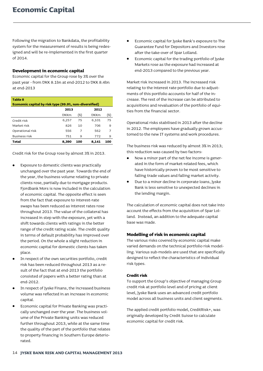Following the migration to Bankdata, the profitability system for the measurement of results is being redesigned and will be re-implemented in the first quarter of 2014.

# **Development in economic capital**

Economic capital for the Group rose by 3% over the past year - from DKK 8.1bn at end-2012 to DKK 8.4bn at end-2013

| <b>Table 8</b>                                         |             |     |             |                |  |  |
|--------------------------------------------------------|-------------|-----|-------------|----------------|--|--|
| Economic capital by risk type (99.9%, non-diversified) |             |     |             |                |  |  |
|                                                        | 2013        |     | 2012        |                |  |  |
|                                                        | <b>DKKm</b> | (%) | <b>DKKm</b> | (%)            |  |  |
| Credit risk                                            | 6,257       | 75  | 6,101       | 75             |  |  |
| Market risk                                            | 826         | 10  | 706         | 9              |  |  |
| Operational risk                                       | 556         | 7   | 562         | $\overline{7}$ |  |  |
| <b>Business risk</b>                                   | 751         | 9   | 772         | 9              |  |  |
| Total                                                  | 8,390       | 100 | 8.141       | 100            |  |  |

Credit risk for the Group rose by almost 3% in 2013.

- Exposure to domestic clients was practically unchanged over the past year. Towards the end of the year, the business volume relating to private clients rose, partially due to mortgage products. Fjordbank Mors is now included in the calculation of economic capital. The opposite effect is seen from the fact that exposure to interest-rate swaps has been reduced as interest rates rose throughout 2013. The value of the collateral has increased in step with the exposure, yet with a shift towards clients with ratings in the better range of the credit rating scale. The credit quality in terms of default probability has improved over the period. On the whole a slight reduction in economic capital for domestic clients has taken place.
- In respect of the own securities portfolio, credit risk has been reduced throughout 2013 as a result of the fact that at end-2013 the portfolio consisted of papers with a better rating than at end-2012.
- In respect of Jyske Finans, the increased business volume was reflected in an increase in economic capital.
- Economic capital for Private Banking was practically unchanged over the year. The business volume of the Private Banking units was reduced further throughout 2013, while at the same time the quality of the part of the portfolio that relates to property financing in Southern Europe deteriorated.
- Economic capital for Jyske Bank's exposure to The Guarantee Fund for Depositors and Investors rose after the take-over of Spar Lolland.
- Economic capital for the trading portfolio of Jyske Markets rose as the exposure had increased at end-2013 compared to the previous year.

Market risk increased in 2013. The increased risk relating to the interest rate portfolio due to adjustments of this portfolio accounts for half of the increase. The rest of the increase can be attributed to acquisitions and revaluation of the portfolio of equities from the financial sector.

Operational risks stabilised in 2013 after the decline in 2012. The employees have gradually grown accustomed to the new IT systems and work procedures.

The business risk was reduced by almost 3% in 2013; this reduction was caused by two factors:

- Now a minor part of the net fee income is generated in the form of market-related fees, which have historically proven to be most sensitive to falling trade values and falling market activity.
- Due to a minor decline in corporate loans, Jyske Bank is less sensitive to unexpected declines in the lending margin.

The calculation of economic capital does not take into account the effects from the acquisition of Spar Lolland. Instead, an addition to the adequate capital base was made.

# **Modelling of risk in economic capital**

The various risks covered by economic capital make varied demands on the technical portfolio risk modelling. Various sub-models are used that are specifically designed to reflect the characteristics of individual risk types.

# **Credit risk**

To support the Group's objective of managing Group credit risk at portfolio level and of pricing at client level, Jyske Bank uses an advanced credit portfolio model across all business units and client segments.

The applied credit portfolio model, CreditRisk+, was originally developed by Credit Suisse to calculate economic capital for credit risk.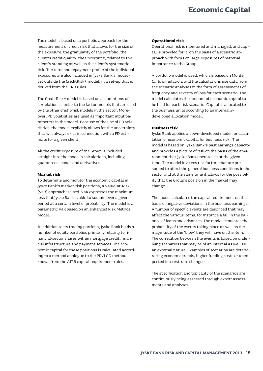The model is based on a portfolio approach for the measurement of credit risk that allows for the size of the exposure, the granularity of the portfolio, the client's credit quality, the uncertainty related to the client's standing as well as the client's systematic risk. The term and repayment profile of the individual exposures are also included in Jyske Bank's model yet outside the CreditRisk+ model, in a set-up that is derived from the CRD rules.

The CreditRisk+ model is based on assumptions of correlations similar to the factor models that are used by the other credit-risk models in the sector. Moreover, PD volatilities are used as important input parameters in the model. Because of the use of PD volatilities, the model explicitly allows for the uncertainty that will always exist in connection with a PD estimate for a given client.

All the credit exposure of the Group is included straight into the model's calculations, including guarantees, bonds and derivatives.

#### **Market risk**

To determine and monitor the economic capital in Jyske Bank's market-risk positions, a Value-at-Risk (VaR) approach is used. VaR expresses the maximum loss that Jyske Bank is able to sustain over a given period at a certain level of probability. The model is a parametric VaR based on an enhanced Risk Metrics model.

In addition to its trading portfolio, Jyske Bank holds a number of equity portfolios primarily relating to financial-sector shares within mortgage credit, financial infrastructure and payment services. The economic capital for these positions is calculated according to a method analogue to the PD/LGD method, known from the AIRB capital requirement rules.

#### **Operational risk**

Operational risk is monitored and managed, and capital is provided for it, on the basis of a scenario approach with focus on large exposures of material importance to the Group.

A portfolio model is used, which is based on Monte Carlo simulation, and the calculations use data from the scenario analyses in the form of assessments of frequency and severity of loss for each scenario. The model calculates the amount of economic capital to be held for each risk scenario. Capital is allocated to the business units according to an internallydeveloped allocation model.

#### **Business risk**

Jyske Bank applies an own-developed model for calculation of economic capital for business risk. The model is based on Jyske Bank's past earnings capacity and provides a picture of risk on the basis of the environment that Jyske Bank operates in at the given time. The model involves risk factors that are presumed to affect the general business conditions in the sector and at the same time it allows for the possibility that the Group's position in the market may change.

The model calculates the capital requirement on the basis of negative deviations in the business earnings. A number of specific events are described that may affect the various items, for instance a fall in the balance of loans and advances. The model simulates the probability of the events taking place as well as the magnitude of the 'blow' they will have on the item. The correlation between the events is based on underlying scenarios that may be of an internal as well as an external nature. Examples of scenarios are deteriorating economic trends, higher funding costs or unexpected interest-rate changes.

The specification and topicality of the scenarios are continuously being assessed through expert assessments and analyses.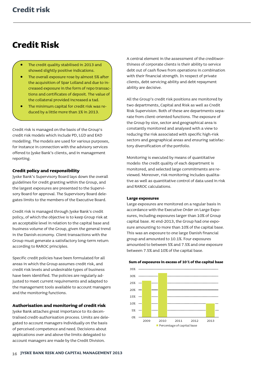# <span id="page-17-0"></span>**Credit Risk**

- The credit quality stabilised in 2013 and showed slightly positive indications.
- The overall exposure rose by almost 5% after the acquisition of Spar Lolland and due to increased exposure in the form of repo transactions and certificates of deposit. The value of the collateral provided increased a tad.
- The minimum capital for credit risk was reduced by a little more than 1% in 2013.

Credit risk is managed on the basis of the Group's credit risk models which include PD, LGD and EAD modelling. The models are used for various purposes, for instance in connection with the advisory services offered to Jyske Bank's clients, and in management reporting.

# **Credit policy and responsibility**

Jyske Bank's Supervisory Board lays down the overall guidelines for credit granting within the Group, and the largest exposures are presented to the Supervisory Board for approval. The Supervisory Board delegates limits to the members of the Executive Board.

Credit risk is managed through Jyske Bank's credit policy, of which the objective is to keep Group risk at an acceptable level in relation to the capital base and business volume of the Group, given the general trend in the Danish economy. Client transactions with the Group must generate a satisfactory long-term return according to RAROC principles.

Specific credit policies have been formulated for all areas in which the Group assumes credit risk, and credit risk levels and undesirable types of business have been identified. The policies are regularly adjusted to meet current requirements and adapted to the management tools available to account managers and the monitoring functions.

# **Authorisation and monitoring of credit risk**

Jyske Bank attaches great importance to its decentralised credit-authorisation process. Limits are delegated to account managers individually on the basis of perceived competence and need. Decisions about applications over and above the limits delegated to account managers are made by the Credit Division.

A central element in the assessment of the creditworthiness of corporate clients is their ability to service debt out of cash flows from operations in combination with their financial strength. In respect of private clients, debt servicing ability and debt repayment ability are decisive.

All the Group's credit risk positions are monitored by two departments, Capital and Risk as well as Credit Risk Supervision. Both of these are departments separate from client-oriented functions. The exposure of the Group by size, sector and geographical area is constantly monitored and analysed with a view to reducing the risk associated with specific high-risk sectors and geographical areas and ensuring satisfactory diversification of the portfolio.

Monitoring is executed by means of quantitative models: the credit quality of each department is monitored, and selected large commitments are reviewed. Moreover, risk monitoring includes qualitative as well as quantitative control of data used in risk and RAROC calculations.

#### **Large exposures**

Large exposures are monitored on a regular basis in accordance with the Executive Order on Large Exposures, including exposures larger than 10% of Group capital base. At end-2013, the Group had one exposure amounting to more than 10% of the capital base. This was an exposure to one large Danish financial group and amounted to 10.1%. Four exposures amounted to between 5% and 7.5% and one exposure between 7.5% and 10% of the capital base.



**Sum of exposures in excess of 10 % of the capital base**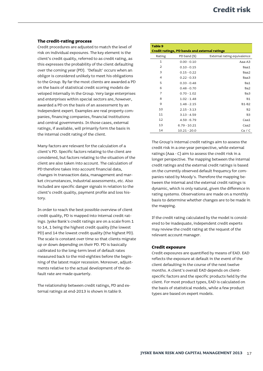### **The credit-rating process**

Credit procedures are adjusted to match the level of risk on individual exposures. The key element is the client's credit quality, referred to as credit rating, as this expresses the probability of the client defaulting over the coming year (PD). 'Default' occurs when an obligor is considered unlikely to meet his obligations to the Group. By far the most clients are awarded a PD on the basis of statistical credit scoring models developed internally in the Group. Very large enterprises and enterprises within special sectors are, however, awarded a PD on the basis of an assessment by an independent expert. Examples are real property companies, financing companies, financial institutions and central governments. In those cases, external ratings, if available, will primarily form the basis in the internal credit rating of the client.

Many factors are relevant for the calculation of a client's PD. Specific factors relating to the client are considered, but factors relating to the situation of the client are also taken into account. The calculation of PD therefore takes into account financial data, changes in transaction data, management and market circumstances, industrial assessments, etc. Also included are specific danger signals in relation to the client's credit quality, payment profile and loss history.

In order to reach the best possible overview of client credit quality, PD is mapped into internal credit ratings. Jyske Bank's credit ratings are on a scale from 1 to 14, 1 being the highest credit quality (the lowest PD) and 14 the lowest credit quality (the highest PD). The scale is constant over time so that clients migrate up or down depending on their PD. PD is basically calibrated to the long-term level of default rates measured back to the mid-eighties before the beginning of the latest major recession. Moreover, adjustments relative to the actual development of the default rate are made quarterly.

The relationship between credit ratings, PD and external ratings at end-2013 is shown in table 9.

| Table 9        |                                                      |                             |
|----------------|------------------------------------------------------|-----------------------------|
|                | <b>Credit ratings, PD bands and external ratings</b> |                             |
| Rating         | PD band (%)                                          | External rating equivalence |
| 1              | $0.00 - 0.10$                                        | Aaa-A3                      |
| 2              | $0.10 - 0.15$                                        | Baa1                        |
| 3              | $0.15 - 0.22$                                        | Baa2                        |
| 4              | $0.22 - 0.33$                                        | Baa3                        |
| 5              | $0.33 - 0.48$                                        | Ba1                         |
| 6              | $0.48 - 0.70$                                        | Ba2                         |
| $\overline{7}$ | $0.70 - 1.02$                                        | Ba3                         |
| 8              | $1.02 - 1.48$                                        | <b>B1</b>                   |
| 9              | $1.48 - 2.15$                                        | <b>B1-B2</b>                |
| 10             | $2.15 - 3.13$                                        | <b>B2</b>                   |
| 11             | $3.13 - 4.59$                                        | B <sub>3</sub>              |
| 12             | $4.59 - 6.79$                                        | Caa1                        |
| 13             | $6.79 - 10.21$                                       | Caa <sub>2</sub>            |
| 14             | $10.21 - 20.0$                                       | Ca / C                      |

The Group's internal credit ratings aim to assess the credit risk in a one-year perspective, while external ratings (Aaa - C) aim to assess the credit risk in a longer perspective. The mapping between the internal credit ratings and the external credit ratings is based on the currently observed default frequency for companies rated by Moody's. Therefore the mapping between the internal and the external credit ratings is dynamic, which is only natural, given the difference in rating systems. Observations are made on a monthly basis to determine whether changes are to be made in the mapping.

If the credit rating calculated by the model is considered to be inadequate, independent credit experts may review the credit rating at the request of the relevant account manager.

#### **Credit exposure**

Credit exposures are quantified by means of EAD. EAD reflects the exposure at default in the event of the client defaulting in the course of the next twelve months. A client's overall EAD depends on clientspecific factors and the specific products held by the client. For most product types, EAD is calculated on the basis of statistical models, while a few product types are based on expert models.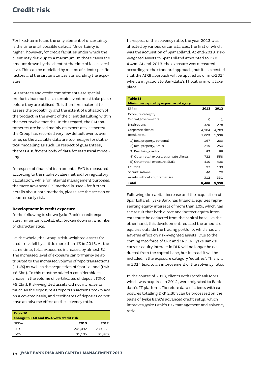For fixed-term loans the only element of uncertainty is the time until possible default. Uncertainty is higher, however, for credit facilities under which the client may draw up to a maximum. In those cases the amount drawn by the client at the time of loss is decisive. This can be modelled by means of client-specific factors and the circumstances surrounding the exposure.

Guarantees and credit commitments are special products inasmuch as a certain event must take place before they are utilised. It is therefore material to assess the probability and the extent of utilisation of the product in the event of the client defaulting within the next twelve months. In this regard, the EAD parameters are based mainly on expert assessments: the Group has recorded very few default events over time, so the available data are too meagre for statistical modelling as such. In respect of guarantees, there is a sufficient body of data for statistical modelling.

In respect of financial instruments, EAD is measured according to the market-value method for regulatory calculation, while for internal management purposes, the more advanced EPE method is used - for further details about both methods, please see the section on counterparty risk.

#### **Development in credit exposure**

In the following is shown Jyske Bank's credit exposure, minimum capital, etc. broken down on a number of characteristics.

On the whole, the Group's risk-weighted assets for credit risk fell by a little more than 1% in 2013. At the same time, total exposures increased by almost 5%. The increased level of exposure can primarily be attributed to the increased volume of repo transactions (+16%) as well as the acquisition of Spar Lolland (DKK +6.5bn). To this must be added a considerable increase in the volume of certificates of deposit (DKK +5.2bn). Risk-weighted assets did not increase as much as the exposure as repo transactions took place on a covered basis, and certificates of deposits do not have an adverse effect on the solvency ratio.

| Table 10<br>Change in EAD and RWA with credit risk |         |         |
|----------------------------------------------------|---------|---------|
| <b>DKKm</b>                                        | 2013    | 2012    |
| <b>FAD</b>                                         | 241,092 | 230,383 |
| RWA                                                | 81,105  | 81,976  |
|                                                    |         |         |

In respect of the solvency ratio, the year 2013 was affected by various circumstances, the first of which was the acquisition of Spar Lolland. At end-2013, riskweighted assets in Spar Lolland amounted to DKK 4.4bn. At end-2013, the exposure was measured according to the standard approach, but it is expected that the AIRB approach will be applied as of mid-2014 when a migration to Bankdata's IT platform will take place.

# **Table 11 Minimum capital by exposure category** DKKm **2013 2012** Exposure category  $Central$  governments  $\qquad \qquad 0 \qquad \qquad 1$ Institutions 320 278 Corporate clients 4,104 4,209 Retail, total 1,609 1,539 1) Real property, personal 167 203 2) Real property, SMEs 219 254 3) Revolving credits 82 88 4) Other retail exposure, private clients 722 558 5) Other retail exposure, SMEs 419 436 Equities 2012 130 Securitisations 46 70 Assets without counterparties 312 331 **Total 6,488 6,558**

Following the capital increase and the acquisition of Spar Lolland, Jyske Bank has financial equities representing equity interests of more than 10%, which has the result that both direct and indirect equity interests must be deducted from the capital base. On the other hand, this development reduced the amount of equities outside the trading portfolio, which has an adverse effect on risk-weighted assets. Due to the coming into force of CRR and CRD IV, Jyske Bank's current equity interest in DLR will no longer be deducted from the capital base, but instead it will be included in the exposure category 'equities'. This will in 2014 lead to an improvement of the solvency ratio.

In the course of 2013, clients with Fjordbank Mors, which was acquired in 2012, were migrated to Bankdata's IT platform. Therefore data of clients with exposures totalling DKK 2.3bn can be processed on the basis of Jyske Bank's advanced credit setup, which improves Jyske Bank's risk management and solvency ratio.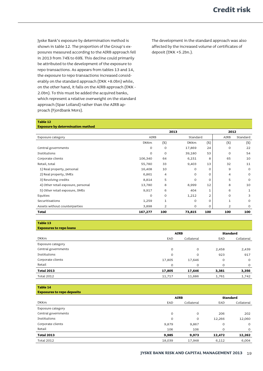Jyske Bank's exposure by determination method is shown in table 12. The proportion of the Group's exposures measured according to the AIRB approach fell in 2013 from 74% to 69%. This decline could primarily be attributed to the development of the exposure to repo transactions. As appears from tables 13 and 14, the exposure to repo transactions increased considerably on the standard approach (DKK +8.0bn) while, on the other hand, it falls on the AIRB approach (DKK - 2.0bn). To this must be added the acquired banks, which represent a relative overweight on the standard approach (Spar Lolland) rather than the AIRB approach (Fjordbank Mors).

The development in the standard approach was also affected by the increased volume of certificates of deposit (DKK +5.2bn.).

#### **Table 12**

#### **Exposure by determination method**

|                                    |             | 2013    |             |                | 2012           |          |  |
|------------------------------------|-------------|---------|-------------|----------------|----------------|----------|--|
| Exposure category                  | <b>AIRB</b> |         |             | Standard       |                | Standard |  |
|                                    | <b>DKKm</b> | $(\%)$  | <b>DKKm</b> | (%)            | $(\%)$         | $(\%)$   |  |
| Central governments                | $\circ$     | $\circ$ | 17,869      | 24             | $\circ$        | 22       |  |
| Institutions                       | $\circ$     | $\circ$ | 39,180      | 53             | 0              | 54       |  |
| Corporate clients                  | 106,340     | 64      | 6,151       | 8              | 65             | 10       |  |
| Retail, total                      | 55,780      | 33      | 9,403       | 13             | 32             | 11       |  |
| 1) Real property, personal         | 16,408      | 10      | 0           | O              | 9              | $\circ$  |  |
| 2) Real property, SMEs             | 6,861       | 4       | $\Omega$    | $\circ$        | 4              | $\circ$  |  |
| 3) Revolving credits               | 8,814       | 5       | 0           | $\circ$        | 5              | $\circ$  |  |
| 4) Other retail exposure, personal | 13,780      | 8       | 8,999       | 12             | 8              | 10       |  |
| 5) Other retail exposure, SMEs     | 9,917       | 6       | 404         | $\mathbf{1}$   | 6              | 1        |  |
| Equities                           | $\Omega$    | $\circ$ | 1,212       | $\overline{2}$ | $\Omega$       | 3        |  |
| Securitisations                    | 1,259       | 1       | 0           | $\circ$        | 1              | $\circ$  |  |
| Assets without counterparties      | 3,898       | 2       | 0           | O              | $\overline{2}$ | $\circ$  |  |
| <b>Total</b>                       | 167,277     | 100     | 73,815      | 100            | 100            | 100      |  |

**Table 13**

| <b>Exposures to repo loans</b> |             |              |                 |            |  |
|--------------------------------|-------------|--------------|-----------------|------------|--|
|                                | <b>AIRB</b> |              | <b>Standard</b> |            |  |
| <b>DKKm</b>                    | EAD         | Collateral   |                 | Collateral |  |
| Exposure category              |             |              |                 |            |  |
| Central governments            | $\circ$     | $\mathsf{O}$ | 2,458           | 2,439      |  |
| Institutions                   | $\circ$     | 0            | 923             | 917        |  |
| Corporate clients              | 17,805      | 17,646       | $\circ$         | $\circ$    |  |
| Retail                         | 0           | $\mathsf{O}$ | $\circ$         | $\circ$    |  |
| <b>Total 2013</b>              | 17,805      | 17,646       | 3,381           | 3,356      |  |
| Total 2012                     | 11,717      | 11,686       | 1,761           | 1,742      |  |

**Table 14**

| <b>Exposures to repo deposits</b> |             |            |         |                 |  |  |
|-----------------------------------|-------------|------------|---------|-----------------|--|--|
|                                   | <b>AIRB</b> |            |         | <b>Standard</b> |  |  |
| <b>DKKm</b>                       | EAD         | Collateral | EAD     | Collateral      |  |  |
| Exposure category                 |             |            |         |                 |  |  |
| Central governments               | $\circ$     | $\circ$    | 206     | 202             |  |  |
| Institutions                      | $\circ$     | 0          | 12,266  | 12,060          |  |  |
| Corporate clients                 | 9,879       | 9,867      | $\circ$ | $\circ$         |  |  |
| Retail                            | 106         | 106        | $\circ$ | $\circ$         |  |  |
| <b>Total 2013</b>                 | 9,985       | 9,973      | 12,472  | 12,262          |  |  |
| <b>Total 2012</b>                 | 18,039      | 17,948     | 6,112   | 6,004           |  |  |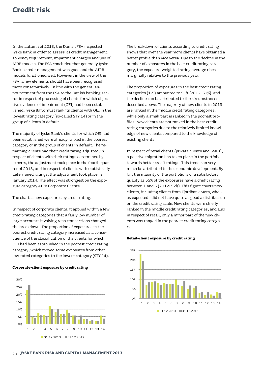In the autumn of 2013, the Danish FSA inspected Jyske Bank in order to assess its credit management, solvency requirement, impairment charges and use of AIRB models. The FSA concluded that generally Jyske Bank's credit management was good and the AIRB models functioned well. However, in the view of the FSA, a few elements should have been recognised more conservatively. In line with the general announcement from the FSA to the Danish banking sector in respect of processing of clients for which objective evidence of impairment (OEI) had been established, Jyske Bank must rank its clients with OEI in the lowest rating category (so-called STY 14) or in the group of clients in default.

The majority of Jyske Bank's clients for which OEI had been established were already ranked in the poorest category or in the group of clients in default. The remaining clients had their credit rating adjusted; in respect of clients with their ratings determined by experts, the adjustment took place in the fourth quarter of 2013, and in respect of clients with statistically determined ratings, the adjustment took place in January 2014. The effect was strongest on the exposure category AIRB Corporate Clients.

The charts show exposures by credit rating.

In respect of corporate clients, it applied within a few credit-rating categories that a fairly low number of large accounts involving repo transactions changed the breakdown. The proportion of exposures in the poorest credit rating category increased as a consequence of the classification of the clients for which OEI had been established in the poorest credit rating category, which moved some exposures from other low-rated categories to the lowest category (STY 14).

### **Corporate-client exposure by credit rating**



The breakdown of clients according to credit rating shows that over the year more clients have obtained a better profile than vice versa. Due to the decline in the number of exposures in the best credit rating category, the exposure-weighted rating average rises marginally relative to the previous year.

The proportion of exposures in the best credit rating categories (1-5) amounted to 51% (2012: 52%), and the decline can be attributed to the circumstances described above. The majority of new clients in 2013 are ranked in the middle credit rating categories, while only a small part is ranked in the poorest profiles. New clients are not ranked in the best credit rating categories due to the relatively limited knowledge of new clients compared to the knowledge of existing clients.

In respect of retail clients (private clients and SMEs), a positive migration has taken place in the portfolio towards better credit ratings. This trend can very much be attributed to the economic development. By far, the majority of the portfolio is of a satisfactory quality as 55% of the exposures have a credit rating between 1 and 5 (2012: 52%). This figure covers new clients, including clients from Fjordbank Mors, who as expected - did not have quite as good a distribution on the credit rating scale. New clients were chiefly ranked in the middle credit rating categories, and also in respect of retail, only a minor part of the new clients was ranged in the poorest credit rating categories.

#### **Retail-client exposure by credit rating**

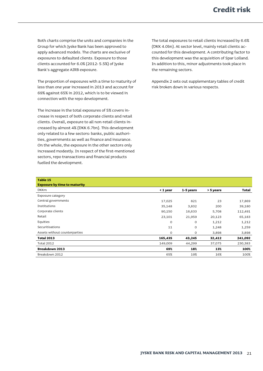Both charts comprise the units and companies in the Group for which Jyske Bank has been approved to apply advanced models. The charts are exclusive of exposures to defaulted clients. Exposure to those clients accounted for 6.0% (2012: 5.5%) of Jyske Bank's aggregate AIRB exposure.

The proportion of exposures with a time to maturity of less than one year increased in 2013 and account for 69% against 65% in 2012, which is to be viewed in connection with the repo development.

The increase in the total exposures of 5% covers increase in respect of both corporate clients and retail clients. Overall, exposure to all non-retail clients increased by almost 4% (DKK 6.7bn). This development only related to a few sectors: banks, public authorities, governments as well as finance and insurance. On the whole, the exposure in the other sectors only increased modestly. In respect of the first-mentioned sectors, repo transactions and financial products fuelled the development.

The total exposures to retail clients increased by 6.6% (DKK 4.0bn). At sector level, mainly retail clients accounted for this development. A contributing factor to this development was the acquisition of Spar Lolland. In addition to this, minor adjustments took place in the remaining sectors.

Appendix 2 sets out supplementary tables of credit risk broken down in various respects.

| Table 15                            |          |              |           |              |
|-------------------------------------|----------|--------------|-----------|--------------|
| <b>Exposure by time to maturity</b> |          |              |           |              |
| <b>DKKm</b>                         | < 1 year | 1-5 years    | > 5 years | <b>Total</b> |
| Exposure category                   |          |              |           |              |
| Central governments                 | 17,025   | 821          | 23        | 17,869       |
| Institutions                        | 35,148   | 3,832        | 200       | 39,180       |
| Corporate clients                   | 90,150   | 16,633       | 5,708     | 112,491      |
| Retail                              | 23,101   | 21,959       | 20,123    | 65,183       |
| Equities                            | $\circ$  | $\circ$      | 1,212     | 1,212        |
| Securitisations                     | 11       | $\circ$      | 1,248     | 1,259        |
| Assets without counterparties       | 0        | $\mathsf{O}$ | 3,898     | 3,898        |
| <b>Total 2013</b>                   | 165,435  | 43,245       | 32,412    | 241,092      |
| <b>Total 2012</b>                   | 149,009  | 44,299       | 37,075    | 230,383      |
| <b>Breakdown 2013</b>               | 69%      | 18%          | 13%       | 100%         |
| Breakdown 2012                      | 65%      | 19%          | 16%       | 100%         |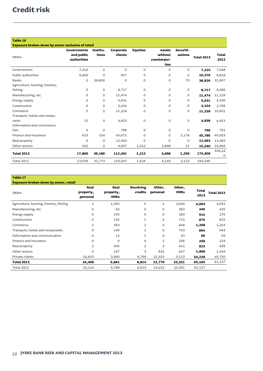| Table 16                                           |                                          |                   |                      |                 |                                                 |                      |                   |                      |
|----------------------------------------------------|------------------------------------------|-------------------|----------------------|-----------------|-------------------------------------------------|----------------------|-------------------|----------------------|
| Exposure broken down by sector exclusive of retail |                                          |                   |                      |                 |                                                 |                      |                   |                      |
| <b>DKKm</b>                                        | Governments<br>and public<br>authorities | Institu-<br>tions | Corporate<br>clients | <b>Equities</b> | <b>Assets</b><br>without<br>counterpar-<br>ties | Securiti-<br>sations | <b>Total 2013</b> | <b>Total</b><br>2012 |
| Governments                                        | 7,210                                    | $\circ$           | $\Omega$             | $\mathbf 0$     | $\circ$                                         | $\mathbf 0$          | 7,210             | 7,048                |
| Public authorities                                 | 9,869                                    | $\mathbf 0$       | 507                  | 0               | 0                                               | $\mathbf 0$          | 10,376            | 8,818                |
| Banks                                              | O                                        | 38,856            | $\Omega$             | $\circ$         | 0                                               | 70                   | 38,926            | 31,807               |
| Agriculture, hunting, forestry,                    |                                          |                   |                      |                 |                                                 |                      |                   |                      |
| fishing                                            | $\mathsf{O}$                             | $\mathsf O$       | 8,717                | $\mathsf O$     | O                                               | $\mathsf{O}$         | 8,717             | 8,286                |
| Manufacturing, etc.                                | $\mathsf{O}$                             | $\circ$           | 11,474               | 0               | O                                               | $\mathbf{O}$         | 11,474            | 11,128               |
| Energy supply                                      | $\circ$                                  | $\circ$           | 5,631                | $\mathbf 0$     | O                                               | $\mathbf 0$          | 5,631             | 3,336                |
| Construction                                       | $\mathsf{O}$                             | $\mathbf 0$       | 3,104                | O               | O                                               | $\mathbf 0$          | 3,104             | 2,788                |
| Commerce                                           | O                                        | $\mathbf 0$       | 11,228               | O               | 0                                               | $\mathbf 0$          | 11,228            | 10,651               |
| Transport, hotels and restau-                      |                                          |                   |                      |                 |                                                 |                      |                   |                      |
| rants                                              | 15                                       | $\mathsf O$       | 4,823                | $\mathsf O$     | O                                               | $\mathsf O$          | 4,838             | 4,453                |
| Information and communica-                         |                                          |                   |                      |                 |                                                 |                      |                   |                      |
| tion                                               | $\circ$                                  | $\circ$           | 796                  | 0               | O                                               | $\mathbf{O}$         | 796               | 761                  |
| Finance and insurance                              | 613                                      | 324               | 43,671               | $\mathbf 0$     | 0                                               | 1,178                | 45,786            | 49,919               |
| Real property                                      | $\mathsf{O}$                             | $\circ$           | 12,583               | O               | $\Omega$                                        | $\mathbf 0$          | 12,583            | 13,383               |
| Other sectors                                      | 162                                      | $\circ$           | 9,957                | 1,212           | 3,898                                           | 11                   | 15,240            | 16,868               |
| <b>Total 2013</b>                                  | 17,869                                   | 39,180            | 112,491              | 1,212           | 3,898                                           | 1,259                | 175,909           | 169,24<br>6          |
| <b>Total 2012</b>                                  | 13,039                                   | 31,773            | 116,547              | 1,624           | 4,140                                           | 2,123                | 169,246           |                      |

i.

# **Table 17**

| <b>Exposure broken down by sector, retail</b> |                               |                                  |                      |                    |                       |               |                   |
|-----------------------------------------------|-------------------------------|----------------------------------|----------------------|--------------------|-----------------------|---------------|-------------------|
| <b>DKKm</b>                                   | Real<br>property,<br>personal | Real<br>property,<br><b>SMEs</b> | Revolving<br>credits | Other.<br>personal | Other,<br><b>SMEs</b> | Total<br>2013 | <b>Total 2012</b> |
| Agriculture, hunting, forestry, fishing       | $\overline{2}$                | 1,303                            | 5                    | $\mathbf{1}$       | 2,692                 | 4,003         | 4,092             |
| Manufacturing, etc.                           | 0                             | 82                               | 0                    | $\circ$            | 363                   | 445           | 435               |
| Energy supply                                 | $\circ$                       | 234                              | $\circ$              | $\circ$            | 280                   | 514           | 276               |
| Construction                                  | $\circ$                       | 155                              | 1                    | 4                  | 715                   | 875           | 832               |
| Commerce                                      | $\mathbf{1}$                  | 353                              | $\overline{2}$       | 4                  | 848                   | 1,208         | 1,254             |
| Transport, hotels and restaurants             | 0                             | 140                              | 1                    | 0                  | 753                   | 894           | 943               |
| Information and communication                 | 0                             | 12                               | 1                    | $\circ$            | 53                    | 66            | 59                |
| Finance and insurance                         | O                             | $\circ$                          | $\circ$              | 2                  | 256                   | 258           | 224               |
| Real property                                 | 2                             | 405                              | $\overline{2}$       | 3                  | 411                   | 823           | 838               |
| Other sectors                                 | $\circ$                       | 197                              | 3                    | 832                | 837                   | 1,869         | 2,434             |
| Private clients                               | 16,403                        | 3,980                            | 8,799                | 21,933             | 3,113                 | 54,228        | 49,750            |
| <b>Total 2013</b>                             | 16,408                        | 6,861                            | 8,814                | 22,779             | 10,321                | 65,183        | 61,137            |
| <b>Total 2012</b>                             | 16,124                        | 6,788                            | 8,619                | 19,215             | 10,391                | 61,137        |                   |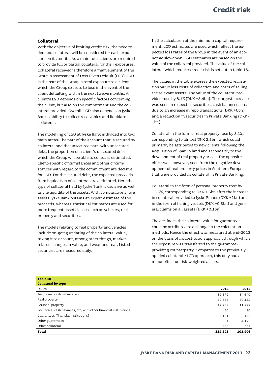# **Collateral**

With the objective of limiting credit risk, the need to demand collateral will be considered for each exposure on its merits. As a main rule, clients are required to provide full or partial collateral for their exposures. Collateral received is therefore a main element of the Group's assessment of Loss Given Default (LGD). LGD is the part of the Group's total exposure to a client which the Group expects to lose in the event of the client defaulting within the next twelve months. A client's LGD depends on specific factors concerning the client, but also on the commitment and the collateral provided. Overall, LGD also depends on Jyske Bank's ability to collect receivables and liquidate collateral.

The modelling of LGD at Jyske Bank is divided into two main areas: The part of the account that is secured by collateral and the unsecured part. With unsecured debt, the proportion of a client's unsecured debt which the Group will be able to collect is estimated. Client-specific circumstances and other circumstances with regard to the commitment are decisive for LGD. For the secured debt, the expected proceeds from liquidation of collateral are estimated. Here the type of collateral held by Jyske Bank is decisive as well as the liquidity of the assets. With comparatively rare assets Jyske Bank obtains an expert estimate of the proceeds, whereas statistical estimates are used for more frequent asset classes such as vehicles, real property and securities.

The models relating to real property and vehicles include on-going updating of the collateral value, taking into account, among other things, marketrelated changes in value, and wear and tear. Listed securities are measured daily.

In the calculation of the minimum capital requirement, LGD estimates are used which reflect the expected loss rates of the Group in the event of an economic slowdown. LGD estimates are based on the value of the collateral provided. The value of the collateral which reduces credit risk is set out in table 18.

The values in the table express the expected realisation value less costs of collection and costs of selling the relevant assets. The value of the collateral provided rose by 8.1% (DKK +8.4bn). The largest increase was seen in respect of securities, cash balances, etc. due to an increase in repo transactions (DKK +6bn) and a reduction in securities in Private Banking (DKK - 1bn).

Collateral in the form of real property rose by 8.1%, corresponding to almost DKK 2.5bn, which could primarily be attributed to new clients following the acquisition of Spar Lolland and secondarily to the development of real property prices. The opposite effect was, however, seen from the negative development of real property prices in Southern Europe that were provided as collateral in Private Banking.

Collateral in the form of personal property rose by 13.5%, corresponding to DKK 1.5bn after the increase in collateral provided to Jyske Finans (DKK +1bn) and in the form of fishing vessels (DKK +0.3bn) and general claims on all assets (DKK +0.1bn).

The decline in the collateral value for guarantees could be attributed to a change in the calculation methods. Hence the effect was measured at end-2013 on the basis of a substitution approach through which the exposure was transferred to the guaranteeproviding counterparty. Compared to the previously applied collateral /LGD approach, this only had a minor effect on risk-weighted assets.

| Table 18                                                          |         |         |
|-------------------------------------------------------------------|---------|---------|
| <b>Collateral by type</b>                                         |         |         |
| <b>DKKm</b>                                                       | 2013    | 2012    |
| Securities, cash balance, etc.                                    | 59,379  | 54,640  |
| Real property                                                     | 32,583  | 30,132  |
| Personal property                                                 | 12,739  | 11,222  |
| Securities, cash balances, etc, with other financial institutions | 20      | 20      |
| Guarantees (financial institutions)                               | 3,131   | 3,152   |
| Other guarantees                                                  | 3,661   | 4,179   |
| Other collateral                                                  | 808     | 559     |
| <b>Total</b>                                                      | 112,321 | 103,906 |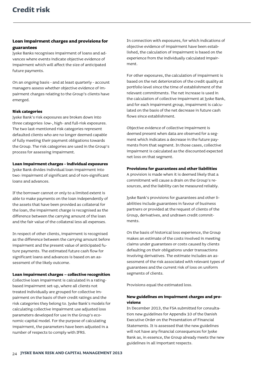# **Loan impairment charges and provisions for guarantees**

Jyske Banks recognises impairment of loans and advances where events indicate objective evidence of impairment which will affect the size of anticipated future payments.

On an ongoing basis - and at least quarterly - account managers assess whether objective evidence of impairment charges relating to the Group's clients have emerged.

### **Risk categories**

Jyske Bank's risk exposures are broken down into three categories: low-, high- and full-risk exposures. The two last-mentioned risk categories represent defaulted clients who are no longer deemed capable of fully meeting their payment obligations towards the Group. The risk categories are used in the Group's process for assessing impairment.

#### **Loan impairment charges - individual exposures**

Jyske Bank divides individual loan impairment into two: impairment of significant and of non-significant loans and advances.

If the borrower cannot or only to a limited extent is able to make payments on the loan independently of the assets that have been provided as collateral for the loan, the impairment charge is recognised as the difference between the carrying amount of the loan and the fair value of the collateral less all expenses.

In respect of other clients, impairment is recognised as the difference between the carrying amount before impairment and the present value of anticipated future payments. The estimated future cash flow for significant loans and advances is based on an assessment of the likely outcome.

#### **Loan impairment charges – collective recognition**

Collective loan impairment is calculated in a ratingbased impairment set-up, where all clients not treated individually are grouped for collective impairment on the basis of their credit ratings and the risk categories they belong to. Jyske Bank's models for calculating collective impairment use adjusted loss parameters developed for use in the Group's economic-capital model. For the purpose of calculating impairment, the parameters have been adjusted in a number of respects to comply with IFRS.

In connection with exposures, for which indications of objective evidence of impairment have been established, the calculation of impairment is based on the experience from the individually calculated impairment.

For other exposures, the calculation of impairment is based on the net deterioration of the credit quality at portfolio level since the time of establishment of the relevant commitments. The net increase is used in the calculation of collective impairment at Jyske Bank, and for each impairment group, impairment is calculated on the basis of the net decrease in future cash flows since establishment.

Objective evidence of collective impairment is deemed present when data are observed for a segment which indicates a decrease in the future payments from that segment. In those cases, collective impairment is calculated as the discounted expected net loss on that segment.

#### **Provisions for guarantees and other liabilities**

A provision is made when it is deemed likely that a commitment will cause a drain on the Group's resources, and the liability can be measured reliably.

Jyske Bank's provisions for guarantees and other liabilities include guarantees in favour of business partners or provided at the request of clients of the Group, derivatives, and undrawn credit commitments.

On the basis of historical loss experience, the Group makes an estimate of the costs involved in meeting claims under guarantees or costs caused by clients defaulting on their obligations under transactions involving derivatives. The estimate includes an assessment of the risk associated with relevant types of guarantees and the current risk of loss on uniform segments of clients.

Provisions equal the estimated loss.

# **New guidelines on impairment charges and provisions**

In December 2013, the FSA submitted for consultation new guidelines for Appendix 10 of the Danish Executive Order on the Presentation of Financial Statements. It is assessed that the new guidelines will not have any financial consequences for Jyske Bank as, in essence, the Group already meets the new guidelines in all important respects.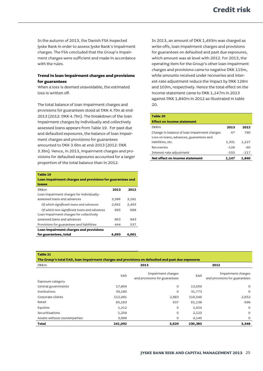In the autumn of 2013, the Danish FSA inspected Jyske Bank in order to assess Jyske Bank's impairment charges. The FSA concluded that the Group's impairment charges were sufficient and made in accordance with the rules.

# **Trend in loan impairment charges and provisions for guarantees**

When a loss is deemed unavoidable, the estimated loss is written off.

The total balance of loan impairment charges and provisions for guarantees stood at DKK 4.7bn at end-2013 (2012: DKK 4.7bn). The breakdown of the loan impairment charges by individually and collectively assessed loans appears from Table 19. For past due and defaulted exposures, the balance of loan impairment charges and provisions for guarantees amounted to DKK 3.6bn at end-2013 (2012: DKK 3.3bn). Hence, in 2013, impairment charges and provisions for defaulted exposures accounted for a larger proportion of the total balance than in 2012.

| Table 19                                                  |       |       |
|-----------------------------------------------------------|-------|-------|
| Loan impairment charges and provisions for guarantees and |       |       |
| losses                                                    |       |       |
| <b>DKKm</b>                                               | 2013  | 2012  |
| Loan impairment charges for individually-                 |       |       |
| assessed loans and advances                               | 3,386 | 3.181 |
| Of which significant loans and advances                   | 2,691 | 2,493 |
| Of which non-significant loans and advances               | 695   | 688   |
| Loan impairment charges for collectively                  |       |       |
| assessed loans and advances                               | 863   | 943   |
| Provisions for guarantees and liabilities                 | 444   | 537   |
| Loan impairment charges and provisions                    |       |       |
| for guarantees, total                                     | 4.693 | 4.661 |

In 2013, an amount of DKK 1,493m was charged as write-offs, loan impairment charges and provisions for guarantees on defaulted and past due exposures, which amount was at level with 2012. For 2013, the operating item for the Group's other loan impairment charges and provisions came to negative DKK 115m, while amounts received under recoveries and interest-rate adjustment reduce the impact by DKK 128m and 103m, respectively. Hence the total effect on the income statement came to DKK 1,147m in 2013 against DKK 1,840m in 2012 as illustrated in table 20.

| Table 20                                     |        |        |
|----------------------------------------------|--------|--------|
| <b>Effect on income statement</b>            |        |        |
| <b>DKKm</b>                                  | 2013   | 2012   |
| Change in balance of loan impairment charges | 47     | 790    |
| Loss on loans, advances, guarantees and      |        |        |
| liabilities, etc.                            | 1,331  | 1,227  |
| Recoveries                                   | $-128$ | -60    |
| Interest-rate adjustment                     | $-103$ | $-117$ |
| Net effect on income statement               | 1,147  | 1,840  |
|                                              |        |        |

**Table 21**

| The Group's total EAD, loan impairment charges and provisions on defaulted and past due exposures |         |                                                     |         |                                                     |  |  |
|---------------------------------------------------------------------------------------------------|---------|-----------------------------------------------------|---------|-----------------------------------------------------|--|--|
| <b>DKKm</b>                                                                                       |         | 2013                                                |         | 2012                                                |  |  |
| Exposure category                                                                                 | EAD     | Impairment charges<br>and provisions for guarantees | EAD     | Impairment charges<br>and provisions for guarantees |  |  |
| Central governments                                                                               | 17,869  | $\circ$                                             | 13,039  | $\circ$                                             |  |  |
| Institutions                                                                                      | 39,180  | 0                                                   | 31,773  | $\circ$                                             |  |  |
| Corporate clients                                                                                 | 112,491 | 2,983                                               | 116,546 | 2,652                                               |  |  |
| Retail                                                                                            | 65,183  | 637                                                 | 61,138  | 696                                                 |  |  |
| Equities                                                                                          | 1,212   | $\circ$                                             | 1,624   | $\circ$                                             |  |  |
| Securitisations                                                                                   | 1,259   | 0                                                   | 2,123   | $\circ$                                             |  |  |
| Assets without counterparties                                                                     | 3,898   | $\circ$                                             | 4,140   | $\mathsf{O}$                                        |  |  |
| <b>Total</b>                                                                                      | 241,092 | 3,620                                               | 230,383 | 3,348                                               |  |  |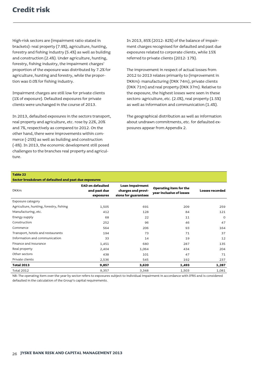High-risk sectors are (impairment ratio stated in brackets): real property (7.9%), agriculture, hunting, forestry and fishing industry (5.4%) as well as building and construction (2.4%). Under agriculture, hunting, forestry, fishing industry, the impairment charges' proportion of the exposure was distributed by 7.2% for agriculture, hunting and forestry, while the proportion was 0.0% for fishing industry.

Impairment charges are still low for private clients (1% of exposure). Defaulted exposures for private clients were unchanged in the course of 2013.

In 2013, defaulted exposures in the sectors transport, real property and agriculture, etc. rose by 22%, 20% and 7%, respectively as compared to 2012. On the other hand, there were improvements within commerce (-25%) as well as building and construction (-8%). In 2013, the economic development still posed challenges to the branches real property and agriculture.

In 2013, 85% (2012: 82%) of the balance of impairment charges recognised for defaulted and past due exposures related to corporate clients, while 15% referred to private clients (2012: 17%).

The improvement in respect of actual losses from 2012 to 2013 relates primarily to (improvement in DKKm): manufacturing (DKK 74m), private clients (DKK 71m) and real property (DKK 37m). Relative to the exposure, the highest losses were seen in these sectors: agriculture, etc. (2.0%), real property (1.5%) as well as information and communication (1.4%).

The geographical distribution as well as information about undrawn commitments, etc. for defaulted exposures appear from Appendix 2.

#### **Table 22**

| Sector breakdown of defaulted and past due exposures |                                                      |                                                               |                                                    |                        |  |
|------------------------------------------------------|------------------------------------------------------|---------------------------------------------------------------|----------------------------------------------------|------------------------|--|
| <b>DKKm</b>                                          | <b>EAD on defaulted</b><br>and past due<br>exposures | Loan impairment<br>charges and provi-<br>sions for guarantees | Operating item for the<br>year inclusive of losses | <b>Losses recorded</b> |  |
| Exposure category                                    |                                                      |                                                               |                                                    |                        |  |
| Agriculture, hunting, forestry, fishing              | 1,505                                                | 691                                                           | 209                                                | 259                    |  |
| Manufacturing, etc.                                  | 412                                                  | 128                                                           | 84                                                 | 121                    |  |
| Energy supply                                        | 68                                                   | 22                                                            | 11                                                 | $\Omega$               |  |
| Construction                                         | 252                                                  | 96                                                            | 46                                                 | 47                     |  |
| Commerce                                             | 564                                                  | 206                                                           | 93                                                 | 164                    |  |
| Transport, hotels and restaurants                    | 194                                                  | 73                                                            | 71                                                 | 37                     |  |
| Information and communication                        | 33                                                   | 14                                                            | 19                                                 | 12                     |  |
| Finance and insurance                                | 1,451                                                | 680                                                           | 287                                                | 135                    |  |
| Real property                                        | 2,404                                                | 1,064                                                         | 434                                                | 204                    |  |
| Other sectors                                        | 438                                                  | 101                                                           | 47                                                 | 71                     |  |
| Private clients                                      | 2,536                                                | 545                                                           | 192                                                | 237                    |  |
| <b>Total 2013</b>                                    | 9,857                                                | 3,620                                                         | 1,493                                              | 1,287                  |  |
| <b>Total 2012</b>                                    | 9,357                                                | 3,348                                                         | 1,503                                              | 1,081                  |  |

NB: The operating item over the year by sector refers to exposures subject to individual impairment in accordance with IFRS and is considered defaulted in the calculation of the Group's capital requirements.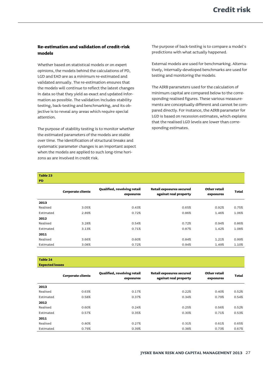# **Re-estimation and validation of credit-risk models**

Whether based on statistical models or on expert opinions, the models behind the calculations of PD, LGD and EAD are as a minimum re-estimated and validated annually. The re-estimation ensures that the models will continue to reflect the latest changes in data so that they yield as exact and updated information as possible. The validation includes stability testing, back-testing and benchmarking, and its objective is to reveal any areas which require special attention.

The purpose of stability testing is to monitor whether the estimated parameters of the models are stable over time. The identification of structural breaks and systematic parameter changes is an important aspect when the models are applied to such long-time horizons as are involved in credit risk.

The purpose of back-testing is to compare a model's predictions with what actually happened.

External models are used for benchmarking. Alternatively, internally-developed benchmarks are used for testing and monitoring the models.

The AIRB parameters used for the calculation of minimum capital are compared below to the corresponding realised figures. These various measurements are conceptually different and cannot be compared directly. For instance, the AIRB parameter for LGD is based on recession estimates, which explains that the realised LGD levels are lower than corresponding estimates.

| Table 23<br>P <sub>D</sub> |                          |                                          |                                                   |                           |              |
|----------------------------|--------------------------|------------------------------------------|---------------------------------------------------|---------------------------|--------------|
|                            | <b>Corporate clients</b> | Qualified, revolving retail<br>exposures | Retail exposures secured<br>against real property | Other retail<br>exposures | <b>Total</b> |
| 2013                       |                          |                                          |                                                   |                           |              |
| Realised                   | 3.05%                    | 0.43%                                    | 0.65%                                             | 0.92%                     | 0.75%        |
| Estimated                  | 2.89%                    | 0.72%                                    | 0.86%                                             | 1.46%                     | 1.06%        |
| 2012                       |                          |                                          |                                                   |                           |              |
| Realised                   | 3.28%                    | 0.54%                                    | 0.72%                                             | 0.94%                     | 0.86%        |
| Estimated                  | 3.13%                    | 0.71%                                    | 0.87%                                             | 1.42%                     | 1.08%        |
| 2011                       |                          |                                          |                                                   |                           |              |
| Realised                   | 3.66%                    | 0.60%                                    | 0.84%                                             | 1.21%                     | 0.99%        |
| Estimated                  | 3.08%                    | 0.72%                                    | 0.94%                                             | 1.49%                     | 1.10%        |

**Table 24**

**Expected losses**

|           | <b>Corporate clients</b> | Qualified, revolving retail<br>exposures | Retail exposures secured<br>against real property | Other retail<br>exposures | <b>Total</b> |
|-----------|--------------------------|------------------------------------------|---------------------------------------------------|---------------------------|--------------|
| 2013      |                          |                                          |                                                   |                           |              |
| Realised  | 0.63%                    | 0.17%                                    | 0.22%                                             | 0.40%                     | 0.52%        |
| Estimated | 0.58%                    | 0.37%                                    | 0.34%                                             | 0.79%                     | 0.54%        |
| 2012      |                          |                                          |                                                   |                           |              |
| Realised  | 0.60%                    | 0.24%                                    | 0.25%                                             | 0.56%                     | 0.52%        |
| Estimated | 0.57%                    | 0.35%                                    | 0.30%                                             | 0.71%                     | 0.53%        |
| 2011      |                          |                                          |                                                   |                           |              |
| Realised  | 0.80%                    | 0.27%                                    | 0.31%                                             | 0.61%                     | 0.65%        |
| Estimated | 0.79%                    | 0.39%                                    | 0.38%                                             | 0.73%                     | 0.67%        |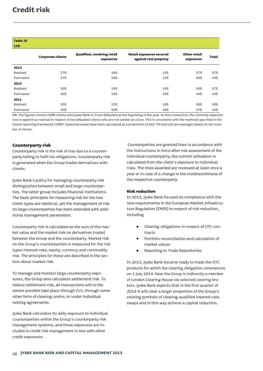# **Credit risk**

| Table 25 |  |
|----------|--|
|          |  |

| $\cdots$   |                          |                                          |                                                          |                           |              |
|------------|--------------------------|------------------------------------------|----------------------------------------------------------|---------------------------|--------------|
| <b>LGD</b> |                          |                                          |                                                          |                           |              |
|            | <b>Corporate clients</b> | Qualified, revolving retail<br>exposures | <b>Retail exposures secured</b><br>against real property | Other retail<br>exposures | <b>Total</b> |
| 2013       |                          |                                          |                                                          |                           |              |
| Realised   | 27%                      | 58%                                      | 15%                                                      | 37%                       | 37%          |
| Estimated  | 37%                      | 59%                                      | 25%                                                      | 49%                       | 43%          |
| 2012       |                          |                                          |                                                          |                           |              |
| Realised   | 30%                      | 54%                                      | 19%                                                      | 36%                       | 37%          |
| Estimated  | 39%                      | 58%                                      | 25%                                                      | 49%                       | 43%          |
| 2011       |                          |                                          |                                                          |                           |              |
| Realised   | 35%                      | 51%                                      | 19%                                                      | 36%                       | 38%          |
| Estimated  | 40%                      | 60%                                      | 26%                                                      | 47%                       | 44%          |

NB: The figures concern AIRB clients with Jyske Bank A/S not defaulted at the beginning of the year. In this connection, the currently expected loss is applied as realised in respect of the defaulted clients who are not settled as a loss. This is consistent with the methods specified in the future reporting framework COREP. Expected losses have been calculated as a proportion of EAD. PD and LGD are averages based on the number of clients.

# **Counterparty risk**

Counterparty risk is the risk of loss due to a counterparty failing to fulfil his obligations. Counterparty risk is generated when the Group trades derivatives with clients.

Jyske Bank's policy for managing counterparty risk distinguishes between small and large counterparties. The latter group includes financial institutions. The basic principles for measuring risk for the two client types are identical, yet the management of risk on large counterparties has been extended with additional management parameters.

Counterparty risk is calculated as the sum of the market value and the market risk on derivatives traded between the Group and the counterparty. Market risk on the Group's counterparties is measured for the risk types interest-rate, equity, currency and commodity risk. The principles for these are described in the section about market risk.

To manage and monitor large counterparty exposures, the Group also calculates settlement risk. To reduce settlement risk, all transactions will to the extent possible take place through CLS, through some other form of clearing centre, or under individual netting agreements.

Jyske Bank calculates its daily exposure to individual counterparties within the Group's counterparty risk management systems, and these exposures are included in credit risk management in line with other credit exposures.

Counterparties are granted lines in accordance with the instructions in force after risk assessment of the individual counterparty; the current utilisation is calculated from the client's exposure to individual risks. The lines awarded are reviewed at least once a year or in case of a change in the creditworthiness of the respective counterparty.

# **Risk reduction**

In 2013, Jyske Bank focused on compliance with the new requirements in the European Market Infrastructure Regulation (EMIR) in respect of risk reduction, including

- Clearing obligations in respect of OTC contracts
- Portfolio reconciliation and calculation of market values
- Reporting to Trade Repositories

In 2013, Jyske Bank became ready to trade the OTC products for which the clearing obligation commences on 1 July 2014. Now the Group is indirectly a member of London Clearing House via selected clearing brokers. Jyske Bank expects that in the first quarter of 2014 it will clear a larger proportion of the Group's existing portfolio of clearing-qualified interest-rate swaps and in this way achieve a capital reduction.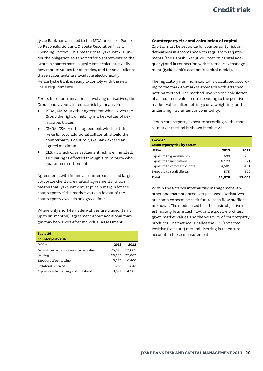Jyske Bank has acceded to the ISDA protocol "Portfolio Reconciliation and Dispute Resolution", as a "Sending Entity". This means that Jyske Bank is under the obligation to send portfolio statements to the Group's counterparties. Jyske Bank calculates daily new market values for all trades, and for small clients these statements are available electronically. Hence Jyske Bank is ready to comply with the new EMIR requirements.

For its lines for transactions involving derivatives, the Group endeavours to reduce risk by means of:

- ISDA, GMRA or other agreement which gives the Group the right of netting market values of derivatives trades
- GMRA, CSA or other agreement which entitles Jyske Bank to additional collateral, should the counterparty's debt to Jyske Bank exceed an agreed maximum
- CLS, in which case settlement risk is eliminated, as clearing is effected through a third party who guarantees settlement.

Agreements with financial counterparties and large corporate clients are mutual agreements, which means that Jyske Bank must put up margin for the counterparty if the market value in favour of the counterparty exceeds an agreed limit.

Where only short-term derivatives are traded (term up to six months), agreement about additional margin may be waived after individual assessment.

| Table 26                               |        |        |
|----------------------------------------|--------|--------|
| <b>Counterparty risk</b>               |        |        |
| <b>DKKm</b>                            | 2013   | 2012   |
| Derivatives with positive market value | 25,813 | 32,669 |
| Netting                                | 20,236 | 25,863 |
| Exposure after netting                 | 5,577  | 6,806  |
| Collateral received                    | 1,686  | 1,843  |
| Exposure after netting and collateral  | 3,891  | 4,963  |

# **Counterparty risk and calculation of capital**

Capital must be set aside for counterparty risk on derivatives in accordance with regulatory requirements (the Danish Executive Order on capital adequacy) and in connection with internal risk management (Jyske Bank's economic capital model).

The regulatory minimum capital is calculated according to the mark-to-market approach with attached netting method. The method involves the calculation of a credit equivalent corresponding to the positive market values after netting plus a weighting for the underlying instrument or commodity.

Group counterparty exposure according to the markto-market method is shown in table 27.

| Table 27                           |        |        |
|------------------------------------|--------|--------|
| <b>Counterparty risk by sector</b> |        |        |
| <b>DKKm</b>                        | 2013   | 2012   |
| Exposure to governments            | 699    | 783    |
| Exposure to institutions           | 6,123  | 5,921  |
| Exposure to corporate clients      | 4.581  | 5,461  |
| Exposure to retail clients         | 575    | 899    |
| Total                              | 11,978 | 13.065 |

Within the Group's internal risk management, another and more nuanced setup is used. Derivatives are complex because their future cash flow profile is unknown. The model used has the basic objective of estimating future cash flow and exposure profiles, given market values and the volatility of counterparty products. The method is called the EPE (Expected Positive Exposure) method. Netting is taken into account in those measurements.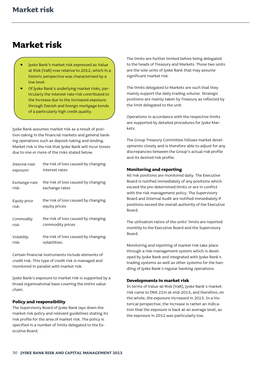# <span id="page-31-0"></span>**Market risk**

- Jyske Bank's market risk expressed as Value at Risk (VaR) rose relative to 2012, which in a historic perspective was characterised by a low level.
- Of Jyske Bank's underlying market risks, particularly the interest-rate risk contributed to the increase due to the increased exposure through Danish and foreign mortgage bonds of a particularly high credit quality.

Jyske Bank assumes market risk as a result of position-taking in the financial markets and general banking operations such as deposit-taking and lending. Market risk is the risk that Jyske Bank will incur losses due to one or more of the risks stated below.

| Interest-rate | the risk of loss caused by changing |
|---------------|-------------------------------------|
| exposure:     | interest rates                      |
| Exchange-rate | the risk of loss caused by changing |
| risk:         | exchange rates                      |
| Equity price  | the risk of loss caused by changing |
| risk:         | equity prices                       |
| Commodity     | the risk of loss caused by changing |
| risk:         | commodity prices                    |
| Volatility    | the risk of loss caused by changing |
| risk:         | volatilities.                       |

Certain financial instruments include elements of credit risk. This type of credit risk is managed and monitored in parallel with market risk.

Jyske Bank's exposure to market risk is supported by a broad organisational base covering the entire value chain.

# **Policy and responsibility**

The Supervisory Board of Jyske Bank lays down the market risk policy and relevant guidelines stating its risk profile for the area of market risk. The policy is specified in a number of limits delegated to the Executive Board.

The limits are further limited before being delegated to the heads of Treasury and Markets. Those two units are the sole units of Jyske Bank that may assume significant market risk.

The limits delegated to Markets are such that they mainly support the daily trading volume. Strategic positions are mainly taken by Treasury as reflected by the limit delegated to the unit.

Operations in accordance with the respective limits are supported by detailed procedures for Jyske Markets.

The Group Treasury Committee follows market developments closely and is therefore able to adjust for any discrepancies between the Group's actual risk profile and its desired risk profile.

# **Monitoring and reporting**

All risk positions are monitored daily. The Executive Board is notified immediately of any positions which exceed the pre-determined limits or are in conflict with the risk management policy. The Supervisory Board and Internal Audit are notified immediately if positions exceed the overall authority of the Executive Board.

The utilisation ratios of the units' limits are reported monthly to the Executive Board and the Supervisory Board.

Monitoring and reporting of market risk take place through a risk-management system which is developed by Jyske Bank and integrated with Jyske Bank's trading systems as well as other systems for the handling of Jyske Bank's regular banking operations.

#### **Developments in market risk**

In terms of Value-at-Risk (VaR), Jyske Bank's market risk came to DKK 21m at end-2013, and therefore, on the whole, the exposure increased in 2013. In a historical perspective, the increase is rather an indication that the exposure is back at an average level, as the exposure in 2012 was particularly low.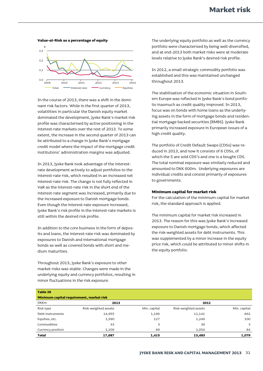

**Value-at-Risk as a percentage of equity**

In the course of 2013, there was a shift in the dominant risk factors. While in the first quarter of 2013, volatilities in particular the Danish equity market dominated the development, Jyske Bank's market risk profile was characterised by active positioning in the interest-rate markets over the rest of 2013. To some extent, the increase in the second quarter of 2013 can be attributed to a change in Jyske Bank's mortgage credit model where the impact of the mortgage credit institutions' administration margins was adjusted.

In 2013, Jyske Bank took advantage of the interestrate development actively to adjust portfolios to the interest-rate risk, which resulted in an increased net interest-rate risk. The change is not fully reflected in VaR as the interest-rate risk in the short end of the interest-rate segment was increased, primarily due to the increased exposure to Danish mortgage bonds. Even though the interest-rate exposure increased, Jyske Bank's risk profile in the interest-rate markets is still within the desired risk profile.

In addition to the core business in the form of deposits and loans, the interest-rate risk was dominated by exposures to Danish and international mortgage bonds as well as covered bonds with short and medium maturities.

Throughout 2013, Jyske Bank's exposure to other market risks was stable. Changes were made in the underlying equity and currency portfolios, resulting in minor fluctuations in the risk exposure.

The underlying equity portfolio as well as the currency portfolio were characterised by being well-diversified, and at end-2013 both market risks were at moderate levels relative to Jyske Bank's desired risk profile.

In 2012, a small strategic commodity portfolio was established and this was maintained unchanged throughout 2013.

The stabilisation of the economic situation in Southern Europe was reflected in Jyske Bank's bond portfolio inasmuch as credit quality improved. In 2013, focus was on bonds with home loans as the underlying assets in the form of mortgage bonds and residential mortgage backed securities (RMBS). Jyske Bank primarily increased exposure in European issues of a high credit quality.

The portfolio of Credit Default Swaps (CDSs) was reduced in 2013, and now it consists of 6 CDSs, of which the 5 are sold CDS's and one is a bought CDS. The total nominal exposure was similarly reduced and amounted to DKK 600m. Underlying exposures are individual credits and consist primarily of exposures to governments.

#### **Minimum capital for market risk**

For the calculation of the minimum capital for market risk, the standard approach is applied.

The minimum capital for market risk increased in 2013. The reason for this was Jyske Bank's increased exposure to Danish mortgage bonds, which affected the risk-weighted assets for debt instruments. This was supplemented by a minor increase in the equity price risk, which could be attributed to minor shifts in the equity portfolio.

| Table 28                                 |                      |              |                      |              |  |  |
|------------------------------------------|----------------------|--------------|----------------------|--------------|--|--|
| Minimum capital requirement, market risk |                      |              |                      |              |  |  |
| <b>DKKm</b>                              | 2013                 |              | 2012                 |              |  |  |
| Risk type                                | Risk-weighted assets | Min. capital | Risk-weighted assets | Min. capital |  |  |
| Debt instruments                         | 14,955               | 1,196        | 11,141               | 892          |  |  |
| Equities, etc.                           | 1,590                | 127          | 1,249                | 100          |  |  |
| Commodities                              | 33                   | 3            | 39                   | 3            |  |  |
| Currency position                        | 1,109                | 89           | 1,054                | 84           |  |  |
| <b>Total</b>                             | 17,687               | 1,415        | 13,483               | 1,079        |  |  |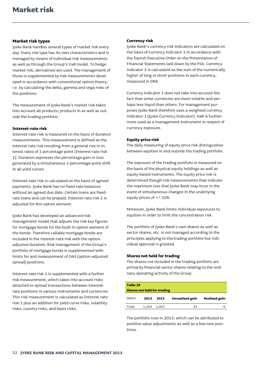### **Market risk types**

Jyske Bank handles several types of market risk every day. Every risk type has its own characteristics and is managed by means of individual risk measurements as well as through the Group's VaR model. To hedge market risk, derivatives are used. The management of those is supplemented by risk measurements developed in accordance with conventional option theory, i.e. by calculating the delta, gamma and vega risks of the positions.

The measurement of Jyske Bank's market risk takes into account all products; products in as well as outside the trading portfolio.

### **Interest-rate risk**

Interest-rate risk is measured on the basis of duration measurements. This measurement is defined as the interest-rate risk resulting from a general rise in interest rates of 1 percentage point (Interest-rate risk 1). Duration expresses the percentage gain or loss generated by a simultaneous 1-percentage point shift in all yield curves.

Interest-rate risk is calculated on the basis of agreed payments. Jyske Bank has no fixed-rate balances without an agreed due date. Certain loans are fixedrate loans and can be prepaid. Interest-rate risk 1 is adjusted for this option element.

Jyske Bank has developed an advanced riskmanagement model that adjusts the risk key figures for mortgage bonds for the built-in option element of the bonds. Therefore callable mortgage bonds are included in the interest-rate risk with the optionadjusted duration. Risk management of the Group's portfolio of mortgage bonds is supplemented with limits for and measurement of OAS (option-adjusted spread) positions.

Interest-rate risk 1 is supplemented with a further risk measurement, which takes into account risks attached to spread transactions between interestrate positions in various instruments and currencies. This risk measurement is calculated as Interest-rate risk 1 plus an addition for yield curve risks, volatility risks, country risks, and basis risks.

### **Currency risk**

Jyske Bank's currency risk indicators are calculated on the basis of Currency indicator 1 in accordance with the Danish Executive Order on the Presentation of Financial Statements laid down by the FSA. Currency indicator 1 is calculated as the sum of the numerically higher of long or short positions in each currency, measured in DKK.

Currency indicator 1 does not take into account the fact that some currencies are more volatile and perhaps less liquid than others. For management purposes Jyske Bank therefore uses a weighted currency indicator 1 (Jyske Currency Indicator). VaR is furthermore used as a management instrument in respect of currency exposure.

### **Equity price risk**

The daily measuring of equity price risk distinguishes between equities in and outside the trading portfolio.

The exposure of the trading portfolio is measured on the basis of the physical equity holdings as well as equity-based instruments. The equity price risk is determined though risk measurements that indicate the maximum loss that Jyske Bank may incur in the event of simultaneous changes in the underlying equity prices of +/-10%.

Moreover, Jyske Bank limits individual exposures to equities in order to limit the concentration risk.

The portfolio of Jyske Bank's own shares as well as sector shares, etc. is not managed according to the principles applying to the trading portfolio but individual approval is granted.

#### **Shares not held for trading**

The shares not included in the trading portfolio are primarily financial-sector shares relating to the ordinary operating activity of the Group.

| Table 29<br><b>Shares not held for trading</b> |       |       |                 |                      |
|------------------------------------------------|-------|-------|-----------------|----------------------|
| <b>DKKm</b>                                    | 2013  | 2012  | Unrealised gain | <b>Realised gain</b> |
| Total                                          | 1.254 | 1.063 | 34              | -9                   |

The portfolio rose in 2013, which can be attributed to positive value adjustments as well as a few new positions.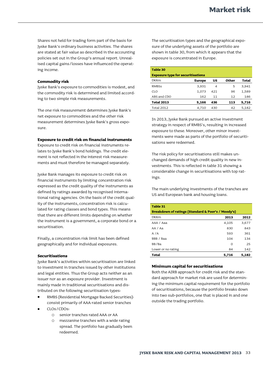Shares not held for trading form part of the basis for Jyske Bank's ordinary business activities. The shares are stated at fair value as described in the accounting policies set out in the Group's annual report. Unrealised capital gains/losses have influenced the operating income.

### **Commodity risk**

Jyske Bank's exposure to commodities is modest, and the commodity risk is determined and limited according to two simple risk measurements.

The one risk measurement determines Jyske Bank's net exposure to commodities and the other risk measurement determines Jyske Bank's gross exposure.

#### **Exposure to credit risk on financial instruments**

Exposure to credit risk on financial instruments relates to Jyske Bank's bond holdings. The credit element is not reflected in the interest risk measurements and must therefore be managed separately.

Jyske Bank manages its exposure to credit risk on financial instruments by limiting concentration risk expressed as the credit quality of the instruments as defined by ratings awarded by recognised international rating agencies. On the basis of the credit quality of the instruments, concentration risk is calculated for rating classes and bond types. This means that there are different limits depending on whether the instrument is a government, a corporate bond or a securitisation.

Finally, a concentration risk limit has been defined geographically and for individual exposures.

#### **Securitisations**

Jyske Bank's activities within securitisation are linked to investment in tranches issued by other institutions and legal entities. Thus the Group acts neither as an issuer nor as an exposure provider. Investment is mainly made in traditional securitisations and distributed on the following securitisation types:

- RMBS (Residential Mortgage Backed Securities): consist primarily of AAA-rated senior tranches
- CLOs/CDOs:
	- o senior tranches rated AAA or AA
	- o mezzanine tranches with a wide rating spread. The portfolio has gradually been redeemed.

The securitisation types and the geographical exposure of the underlying assets of the portfolio are shown in table 30, from which it appears that the exposure is concentrated in Europe.

| Table 30                                 |        |     |       |       |  |  |  |
|------------------------------------------|--------|-----|-------|-------|--|--|--|
| <b>Exposure type for securitisations</b> |        |     |       |       |  |  |  |
| <b>DKKm</b>                              | Europe | บร  | Other | Total |  |  |  |
| <b>RMBSs</b>                             | 3,931  | 4   | 5     | 3,941 |  |  |  |
| CLO                                      | 1,073  | 421 | 96    | 1,589 |  |  |  |
| ABS and CDO                              | 162    | 11  | 12    | 186   |  |  |  |
| <b>Total 2013</b>                        | 5,166  | 436 | 113   | 5,716 |  |  |  |
| <b>Total 2012</b>                        | 4,710  | 430 | 42    | 5,182 |  |  |  |

In 2013, Jyske Bank pursued an active investment strategy in respect of RMBS's, resulting in increased exposure to these. Moreover, other minor investments were made as parts of the portfolio of securitisations were redeemed.

The risk policy for securitisations still makes unchanged demands of high credit quality in new investments. This is reflected in table 31 showing a considerable change in securitisations with top ratings.

The main underlying investments of the tranches are US and European bank and housing loans.

| Table 31                                           |          |       |  |  |  |
|----------------------------------------------------|----------|-------|--|--|--|
| Breakdown of ratings (Standard & Poor's / Moody's) |          |       |  |  |  |
| <b>DKKm</b>                                        | 2013     | 2012  |  |  |  |
| AAA / Aaa                                          | 4,105    | 3,677 |  |  |  |
| AA / Aa                                            | 830      | 843   |  |  |  |
| A/A                                                | 593      | 361   |  |  |  |
| BBB / Baa                                          | 104      | 134   |  |  |  |
| BB/Ba                                              | $\Omega$ | 25    |  |  |  |
| Lower or no rating                                 | 84       | 142   |  |  |  |
| Total                                              | 5,716    | 5,182 |  |  |  |

#### **Minimum capital for securitisations**

Both the AIRB approach for credit risk and the standard approach for market risk are used for determining the minimum capital requirement for the portfolio of securitisations, because the portfolio breaks down into two sub-portfolios, one that is placed in and one outside the trading portfolio.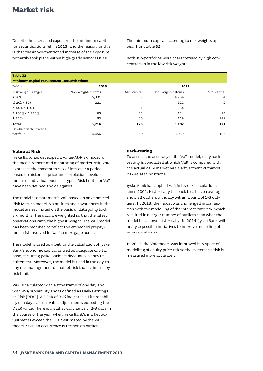Despite the increased exposure, the minimum capital for securitisations fell in 2013, and the reason for this is that the above-mentioned increase of the exposure primarily took place within high-grade senior issues.

The minimum capital according to risk weights appear from table 32.

Both sub-portfolios were characterised by high concentration in the low risk weights.

| Table 32                                     |                    |              |                    |                |  |  |  |  |
|----------------------------------------------|--------------------|--------------|--------------------|----------------|--|--|--|--|
| Minimum capital requirement, securitisations |                    |              |                    |                |  |  |  |  |
| <b>DKKm</b>                                  | 2012               |              |                    |                |  |  |  |  |
| Risk weight - ranges                         | Non-weighted items | Min. capital | Non-weighted items | Min. capital   |  |  |  |  |
| $< 20\%$                                     | 5,331              | 39           | 4,784              | 34             |  |  |  |  |
| $\leq$ 20% < 50%                             | 221                | 4            | 121                | $\overline{2}$ |  |  |  |  |
| $\leq$ 50 % < 100 %                          | 11                 | 1            | 34                 | 2              |  |  |  |  |
| $\leq$ 100 % < 1,250 %                       | 93                 | 22           | 124                | 14             |  |  |  |  |
| 1,250%                                       | 60                 | 60           | 119                | 119            |  |  |  |  |
| <b>Total</b>                                 | 5,716              | 126          | 5,182              | 171            |  |  |  |  |
| Of which in the trading                      |                    |              |                    |                |  |  |  |  |
| portfolio                                    | 4,456              | 80           | 3,059              | 106            |  |  |  |  |

# **Value at Risk**

Jyske Bank has developed a Value-At-Risk model for the measurement and monitoring of market risk. VaR expresses the maximum risk of loss over a period based on historical price and correlation developments of individual business types. Risk limits for VaR have been defined and delegated.

The model is a parametric VaR based on an enhanced Risk Metrics model. Volatilities and covariances in the model are estimated on the basis of data going back six months. The data are weighted so that the latest observations carry the highest weight. The VaR model has been modified to reflect the embedded prepayment risk involved in Danish mortgage bonds.

The model is used as input for the calculation of Jyske Bank's economic capital as well as adequate capital base, including Jyske Bank's individual solvency requirement. Moreover, the model is used in the day-today risk management of market risk that is limited by risk limits.

VaR is calculated with a time frame of one day and with 99% probability and is defined as Daily Earnings at Risk (DEaR). A DEaR of 99% indicates a 1% probability of a day's actual value adjustments exceeding the DEaR value. There is a statistical chance of 2-3 days in the course of the year when Jyske Bank's market adjustments exceed the DEaR estimated by the VaR model. Such an occurrence is termed an outlier.

#### **Back-testing**

To assess the accuracy of the VaR model, daily backtesting is conducted at which VaR is compared with the actual daily market value adjustment of market risk-related positions.

Jyske Bank has applied VaR in its risk calculations since 2001. Historically the back test has on average shown 2 outliers annually within a band of 1-3 outliers. In 2013, the model was challenged in connection with the modelling of the interest-rate risk, which resulted in a larger number of outliers than what the model has shown historically. In 2014, Jyske Bank will analyse possible initiatives to improve modelling of interest-rate risk.

In 2013, the VaR model was improved in respect of modelling of equity price risk so the systematic risk is measured more accurately.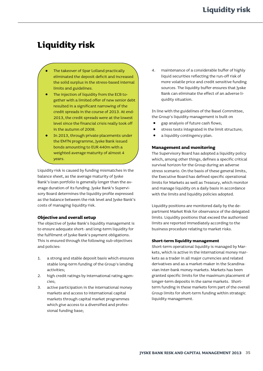# <span id="page-36-0"></span>**Liquidity risk**

- The takeover of Spar Lolland practically eliminated the deposit deficit and increased the solid surplus in the stress-based internal limits and guidelines.
- The injection of liquidity from the ECB together with a limited offer of new senior debt resulted in a significant narrowing of the credit spreads in the course of 2013. At end-2013, the credit spreads were at the lowest level since the financial crisis really took off in the autumn of 2008.
- In 2013, through private placements under the EMTN programme, Jyske Bank issued bonds amounting to EUR 440m with a weighted average maturity of almost 4 years.

Liquidity risk is caused by funding mismatches in the balance sheet, as the average maturity of Jyske Bank's loan portfolio is generally longer than the average duration of its funding. Jyske Bank's Supervisory Board determines the liquidity profile expressed as the balance between the risk level and Jyske Bank's costs of managing liquidity risk.

# **Objective and overall setup**

The objective of Jyske Bank's liquidity management is to ensure adequate short- and long-term liquidity for the fulfilment of Jyske Bank's payment obligations. This is ensured through the following sub-objectives and policies:

- 1. a strong and stable deposit basis which ensures stable long-term funding of the Group's lending activities;
- 2. high credit ratings by international rating agencies;
- 3. active participation in the international money markets and access to international capital markets through capital market programmes which give access to a diversified and professional funding base;

4. maintenance of a considerable buffer of highly liquid securities reflecting the run-off risk of more volatile price and credit sensitive funding sources. The liquidity buffer ensures that Jyske Bank can eliminate the effect of an adverse liquidity situation.

In line with the guidelines of the Basel Committee, the Group's liquidity management is built on

- gap analysis of future cash flows;
- stress tests integrated in the limit structure;
- a liquidity contingency plan.

# **Management and monitoring**

The Supervisory Board has adopted a liquidity policy which, among other things, defines a specific critical survival horizon for the Group during an adverse stress scenario. On the basis of these general limits, the Executive Board has defined specific operational limits for Markets as well as Treasury, which monitor and manage liquidity on a daily basis in accordance with the limits and liquidity policies adopted.

Liquidity positions are monitored daily by the department Market Risk for observance of the delegated limits. Liquidity positions that exceed the authorised limits are reported immediately according to the business procedure relating to market risks.

#### **Short-term liquidity management**

Short-term operational liquidity is managed by Markets, which is active in the international money markets as a trader in all major currencies and related derivatives and as a market-maker in the Scandinavian inter-bank money markets. Markets has been granted specific limits for the maximum placement of longer-term deposits in the same markets. Shortterm funding in these markets form part of the overall Group limits for short-term funding within strategic liquidity management.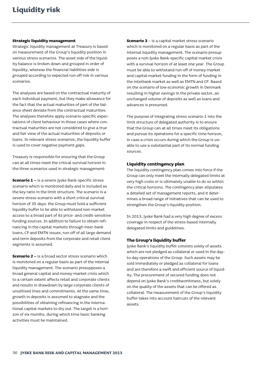### **Strategic liquidity management**

Strategic liquidity management at Treasury is based on measurement of the Group's liquidity position in various stress scenarios. The asset side of the liquidity balance is broken down and grouped in order of liquidity, whereas the financial liabilities side is grouped according to expected run-off risk in various scenarios.

The analyses are based on the contractual maturity of each individual payment, but they make allowance for the fact that the actual maturities of part of the balance sheet deviate from the contractual maturities. The analyses therefore apply scenario-specific expectations of client behaviour in those cases where contractual maturities are not considered to give a true and fair view of the actual maturities of deposits or loans. In relevant stress scenarios, the liquidity buffer is used to cover negative payment gaps.

Treasury is responsible for ensuring that the Group can at all times meet the critical survival horizon in the three scenarios used in strategic management:

**Scenario 1 –** is a severe Jyske Bank-specific stress scenario which is monitored daily and is included as the key ratio in the limit structure. The scenario is a severe stress scenario with a short critical survival horizon of 35 days: the Group must hold a sufficient liquidity buffer to be able to withstand non-market access to a broad part of its price- and credit-sensitive funding sources. In addition to failure to obtain refinancing in the capital markets through inter-bank loans, CP and EMTN issues, run-off of all large demand and term deposits from the corporate and retail client segments is assumed.

**Scenario 2 –** is a broad sector stress scenario which is monitored on a regular basis as part of the internal liquidity management. The scenario presupposes a broad general capital and money-market crisis which to a certain extent affects retail and corporate clients and results in drawdown by large corporate clients of unutilised lines and commitments. At the same time, growth in deposits is assumed to stagnate and the possibilities of obtaining refinancing in the international capital markets to dry out. The target is a horizon of six months, during which time basic banking activities must be maintained.

**Scenario 3** – is a capital market stress scenario which is monitored on a regular basis as part of the internal liquidity management. The scenario presupposes a non-Jyske Bank-specific capital market crisis with a survival horizon of at least one year. The Group must be able to withstand run-off of money-market and capital-market funding in the form of funding in the interbank market as well as EMTN and CP. Based on the scenario of low economic growth in Denmark resulting in higher savings in the private sector, an unchanged volume of deposits as well as loans and advances is presumed.

The purpose of integrating stress scenario 1 into the limit structure of delegated authority is to ensure that the Group can at all times meet its obligations and pursue its operations for a specific time horizon, in case a crisis occurs during which the Group is unable to use a substantial part of its normal funding sources.

### **Liquidity contingency plan**

The liquidity contingency plan comes into force if the Group can only meet the internally delegated limits at very high costs or is ultimately unable to do so within the critical horizons. The contingency plan stipulates a detailed set of management reports, and it determines a broad range of initiatives that can be used to strengthen the Group's liquidity position.

In 2013, Jyske Bank had a very high degree of excess coverage in respect of the stress-based internally delegated limits and guidelines.

### **The Group's liquidity buffer**

Jyske Bank's liquidity buffer consists solely of assets which are not pledged as collateral or used in the dayto-day operations of the Group. Such assets may be sold immediately or pledged as collateral for loans and are therefore a swift and efficient source of liquidity. The procurement of secured funding does not depend on Jyske Bank's creditworthiness, but solely on the quality of the assets that can be offered as collateral. The measurement of the Group's liquidity buffer takes into account haircuts of the relevant assets.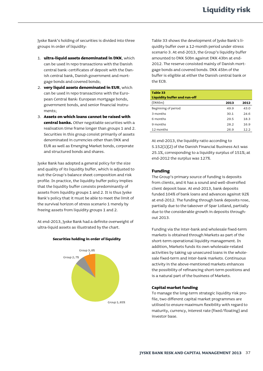Jyske Bank's holding of securities is divided into three groups in order of liquidity:

- 1. **ultra-liquid assets denominated in DKK**, which can be used in repo transactions with the Danish central bank: certificates of deposit with the Danish central bank, Danish government and mortgage bonds and covered bonds;
- 2. **very liquid assets denominated in EUR**, which can be used in repo transactions with the European Central Bank: European mortgage bonds, government bonds, and senior financial instruments;
- 3. **Assets on which loans cannot be raised with central banks.** Other negotiable securities with a realisation time frame longer than groups 1 and 2. Securities in this group consist primarily of assets denominated in currencies other than DKK and EUR as well as Emerging Market bonds, corporate and structured bonds and shares.

Jyske Bank has adopted a general policy for the size and quality of its liquidity buffer, which is adjusted to suit the Group's balance sheet composition and risk profile. In practice, the liquidity buffer policy implies that the liquidity buffer consists predominantly of assets from liquidity groups 1 and 2. It is thus Jyske Bank's policy that it must be able to meet the limit of the survival horizon of stress scenario 1 merely by freeing assets from liquidity groups 1 and 2.

At end-2013, Jyske Bank had a definite overweight of ultra-liquid assets as illustrated by the chart.



**Securities holding in order of liquidity**

Table 33 shows the development of Jyske Bank's liquidity buffer over a 12-month period under stress scenario 3. At end-2013, the Group's liquidity buffer amounted to DKK 50bn against DKK 43bn at end-2012. The reserve consisted mainly of Danish mortgage bonds and covered bonds. DKK 45bn of the buffer is eligible at either the Danish central bank or the ECB.

| Table 33                            |      |      |
|-------------------------------------|------|------|
| <b>Liquidity buffer and run-off</b> |      |      |
| (DKKbn)                             | 2013 | 2012 |
| Beginning of period                 | 49.9 | 43.0 |
| 3 months                            | 30.1 | 24.6 |
| 6 months                            | 29.5 | 18.3 |
| 9 months                            | 28.2 | 16.9 |
| 12 months                           | 26.9 | 12.2 |
|                                     |      |      |

At end-2013, the liquidity ratio according to S.152(1)(2) of the Danish Financial Business Act was 25.1%, corresponding to a liquidity surplus of 151%; at end-2012 the surplus was 127%.

### **Funding**

The Group's primary source of funding is deposits from clients, and it has a sound and well-diversified client deposit base. At end-2013, bank deposits funded 104% of bank loans and advances against 92% at end-2012. The funding through bank deposits rose, partially due to the takeover of Spar Lolland, partially due to the considerable growth in deposits throughout 2013.

Funding via the inter-bank and wholesale fixed-term markets is obtained through Markets as part of the short-term operational liquidity management. In addition, Markets funds its own wholesale-related activities by taking up unsecured loans in the wholesale fixed-term and inter-bank markets. Continuous activity in the above-mentioned markets enhances the possibility of refinancing short-term positions and is a natural part of the business of Markets.

### **Capital market funding**

To manage the long-term strategic liquidity risk profile, two different capital market programmes are utilised to ensure maximum flexibility with regard to maturity, currency, interest rate (fixed/floating) and investor base.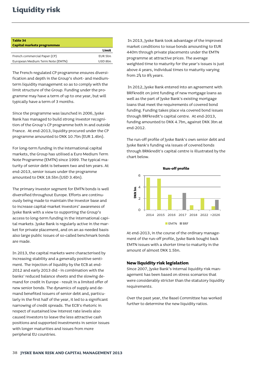# **Liquidity risk**

| Table 34                         |                |
|----------------------------------|----------------|
| Capital markets programmes       |                |
|                                  | Limit          |
| French commercial Paper (CP)     | <b>EUR 5bn</b> |
| European Medium Term Note (EMTN) | USD 8bn        |

The French-regulated CP programme ensures diversification and depth in the Group's short- and mediumterm liquidity management so as to comply with the limit structure of the Group. Funding under the programme may have a term of up to one year, but will typically have a term of 3 months.

Since the programme was launched in 2006, Jyske Bank has managed to build strong investor recognition of the Group's CP programme both in and outside France. At end-2013, liquidity procured under the CP programme amounted to DKK 10.7bn (EUR 1.4bn).

For long-term funding in the international capital markets, the Group has utilised a Euro Medium Term Note Programme (EMTN) since 1999. The typical maturity of senior debt is between two and ten years. At end-2013, senior issues under the programme amounted to DKK 18.5bn (USD 3.4bn).

The primary investor segment for EMTN bonds is well diversified throughout Europe. Efforts are continuously being made to maintain the investor base and to increase capital-market investors' awareness of Jyske Bank with a view to supporting the Group's access to long-term funding in the international capital markets. Jyske Bank is regularly active in the market for private placement, and on an as-needed basis also large public issues of so-called benchmark bonds are made.

In 2013, the capital markets were characterised by increasing stability and a generally positive sentiment. The injection of liquidity by the ECB at end-2012 and early 2013 did - in combination with the banks' reduced balance sheets and the slowing demand for credit in Europe - result in a limited offer of new senior bonds. The dynamics of supply and demand benefited issuers of senior debt and, particularly in the first half of the year, it led to a significant narrowing of credit spreads. The ECB's rhetoric in respect of sustained low interest rate levels also caused investors to leave the less attractive cash positions and supported investments in senior issues with longer maturities and issues from more peripheral EU countries.

In 2013, Jyske Bank took advantage of the improved market conditions to issue bonds amounting to EUR 440m through private placements under the EMTN programme at attractive prices. The average weighted time to maturity for the year's issues is just above 4 years, individual times to maturity varying from  $2\frac{1}{4}$  to  $8\frac{1}{2}$  years.

In 2012, Jyske Bank entered into an agreement with BRFkredit on joint funding of new mortgage loans as well as the part of Jyske Bank's existing mortgage loans that meet the requirements of covered bond funding. Funding takes place via covered bond issues through BRFkredit's capital centre. At end-2013, funding amounted to DKK 4.7bn, against DKK 3bn at end-2012.

The run-off profile of Jyske Bank's own senior debt and Jyske Bank's funding via issues of covered bonds through BRKkredit's capital centre is illustrated by the chart below.



At end-2013, in the course of the ordinary management of the run-off profile, Jyske Bank bought back EMTN issues with a shorter time to maturity in the amount of almost DKK 1.5bn.

# **New liquidity risk legislation**

Since 2007, Jyske Bank's internal liquidity risk management has been based on stress scenarios that were considerably stricter than the statutory liquidity requirements.

Over the past year, the Basel Committee has worked further to determine the new liquidity ratios.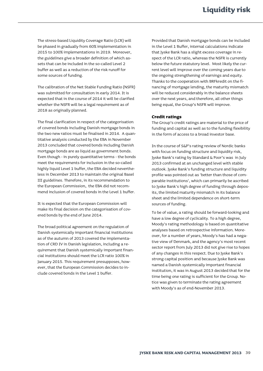The stress-based Liquidity Coverage Ratio (LCR) will be phased in gradually from 60% implementation in 2015 to 100% implementations in 2019. Moreover, the guidelines give a broader definition of which assets that can be included in the so-called Level 2 buffer as well as a reduction of the risk runoff for some sources of funding.

The calibration of the Net Stable Funding Ratio (NSFR) was submitted for consultation in early 2014. It is expected that in the course of 2014 it will be clarified whether the NSFR will be a legal requirement as of 2018 as originally planned.

The final clarification in respect of the categorisation of covered bonds including Danish mortgage bonds in the two new ratios must be finalised in 2014. A quantitative analysis conducted by the EBA in November 2013 concluded that covered bonds including Danish mortgage bonds are as liquid as government bonds. Even though - in purely quantitative terms - the bonds meet the requirements for inclusion in the so-called highly liquid Level 1 buffer, the EBA decided nevertheless in December 2013 to maintain the original Basel III guidelines. Therefore, in its recommendation to the European Commission, the EBA did not recommend inclusion of covered bonds in the Level 1 buffer.

It is expected that the European Commission will make its final decision on the categorisation of covered bonds by the end of June 2014.

The broad political agreement on the regulation of Danish systemically important financial institutions as of the autumn of 2013 covered the implementation of CRD IV in Danish legislation, including a requirement that Danish systemically important financial institutions should meet the LCR ratio 100% in January 2015. This requirement presupposes, however, that the European Commission decides to include covered bonds in the Level 1 buffer.

Provided that Danish mortgage bonds can be included in the Level 1 Buffer, internal calculations indicate that Jyske Bank has a slight excess coverage in respect of the LCR ratio, whereas the NSFR is currently below the future statutory level. Most likely the current level will improve over the coming years due to the ongoing strengthening of earnings and equity. Thanks to the cooperation with BRFkredit on the financing of mortgage lending, the maturity mismatch will be reduced considerably in the balance sheets over the next years, and therefore, all other things being equal, the Group's NSFR will improve.

### **Credit ratings**

The Group's credit ratings are material to the price of funding and capital as well as to the funding flexibility in the form of access to a broad investor base.

In the course of S&P's rating review of Nordic banks with focus on funding structure and liquidity risk, Jyske Bank's rating by Standard & Poor's was in July 2013 confirmed at an unchanged level with stable outlook. Jyske Bank's funding structure and liquidity profile was pointed out as 'better than those of comparable institutions', which can primarily be ascribed to Jyske Bank's high degree of funding through deposits, the limited maturity mismatch in its balance sheet and the limited dependence on short-term sources of funding.

To be of value, a rating should be forward-looking and have a low degree of cyclicality. To a high degree, Moody's rating methodology is based on quantitative analyses based on retrospective information. Moreover, for a number of years, Moody's has had a negative view of Denmark, and the agency's most recent sector report from July 2013 did not give rise to hopes of any changes in this respect. Due to Jyske Bank's strong capital position and because Jyske Bank was named a Danish systemically important financial institution, it was in August 2013 decided that for the time being one rating is sufficient for the Group. Notice was given to terminate the rating agreement with Moody's as of end-November 2013.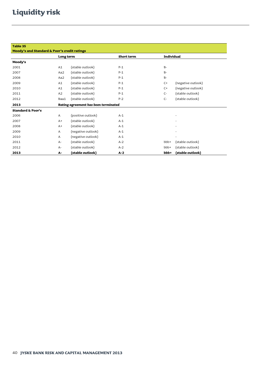# **Liquidity risk**

| Table 35                                     |                                      |                    |            |                   |                    |  |
|----------------------------------------------|--------------------------------------|--------------------|------------|-------------------|--------------------|--|
| Moody's and Standard & Poor's credit ratings |                                      |                    |            |                   |                    |  |
|                                              | Long term                            |                    | Short term | <b>Individual</b> |                    |  |
| Moody's                                      |                                      |                    |            |                   |                    |  |
| 2001                                         | A1                                   | (stable outlook)   | $P-1$      | $B-$              |                    |  |
| 2007                                         | Aa2                                  | (stable outlook)   | $P-1$      | $B -$             |                    |  |
| 2008                                         | Aa2                                  | (stable outlook)   | $P-1$      | $B-$              |                    |  |
| 2009                                         | A1                                   | (stable outlook)   | $P-1$      | $C+$              | (negative outlook) |  |
| 2010                                         | A1                                   | (stable outlook)   | $P-1$      | $C+$              | (negative outlook) |  |
| 2011                                         | A2                                   | (stable outlook)   | $P-1$      | $C-$              | (stable outlook)   |  |
| 2012                                         | Baa1                                 | (stable outlook)   | $P-2$      | $C-$              | (stable outlook)   |  |
| 2013                                         | Rating agreement has been terminated |                    |            |                   |                    |  |
| <b>Standard &amp; Poor's</b>                 |                                      |                    |            |                   |                    |  |
| 2006                                         | A                                    | (positive outlook) | $A-1$      |                   |                    |  |
| 2007                                         | $A+$                                 | (stable outlook)   | $A-1$      |                   |                    |  |
| 2008                                         | $A+$                                 | (stable outlook)   | $A-1$      |                   |                    |  |
| 2009                                         | A                                    | (negative outlook) | $A-1$      |                   |                    |  |
| 2010                                         | A                                    | (negative outlook) | $A-1$      |                   |                    |  |
| 2011                                         | $A-$                                 | (stable outlook)   | $A-2$      | bbb+              | (stable outlook)   |  |
| 2012                                         | A-                                   | (stable outlook)   | $A-2$      | bbb+              | (stable outlook)   |  |
| 2013                                         | А-                                   | (stable outlook)   | $A-2$      | bbb+              | (stable outlook)   |  |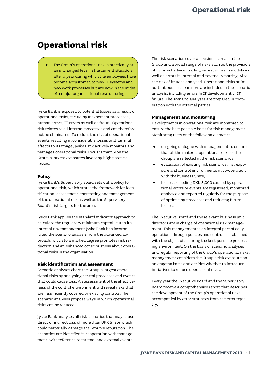# <span id="page-42-0"></span>**Operational risk**

The Group's operational risk is practically at an unchanged level in the current situation after a year during which the employees have become accustomed to new IT systems and new work processes but are now in the midst of a major organisational restructuring.

Jyske Bank is exposed to potential losses as a result of operational risks, including inexpedient processes, human errors, IT errors as well as fraud. Operational risk relates to all internal processes and can therefore not be eliminated. To reduce the risk of operational events resulting in considerable losses and harmful effects to its image, Jyske Bank actively monitors and manages operational risks. Focus is mainly on the Group's largest exposures involving high potential losses.

# **Policy**

Jyske Bank's Supervisory Board sets out a policy for operational risk, which states the framework for identification, assessment, monitoring and management of the operational risk as well as the Supervisory Board's risk targets for the area.

Jyske Bank applies the standard indicator approach to calculate the regulatory minimum capital, but in its internal risk management Jyske Bank has incorporated the scenario analysis from the advanced approach, which to a marked degree promotes risk reduction and an enhanced consciousness about operational risks in the organisation.

# **Risk identification and assessment**

Scenario analyses chart the Group's largest operational risks by analysing central processes and events that could cause loss. An assessment of the effectiveness of the control environment will reveal risks that are insufficiently covered by existing controls. The scenario analyses propose ways in which operational risks can be reduced.

Jyske Bank analyses all risk scenarios that may cause direct or indirect loss of more than DKK 5m or which could materially damage the Group's reputation. The scenarios are identified in cooperation with management, with reference to internal and external events.

The risk scenarios cover all business areas in the Group and a broad range of risks such as the provision of incorrect advice, trading errors, errors in models as well as errors in internal and external reporting. Also the risk of fraud is analysed. Operational risks at important business partners are included in the scenario analysis, including errors in IT development or IT failure. The scenario analyses are prepared in cooperation with the external parties.

# **Management and monitoring**

Developments in operational risk are monitored to ensure the best possible basis for risk management. Monitoring rests on the following elements:

- on-going dialogue with management to ensure that all the material operational risks of the Group are reflected in the risk scenarios;
- evaluation of existing risk scenarios, risk exposure and control environments in co-operation with the business units;
- losses exceeding DKK 5,000 caused by operational errors or events are registered, monitored, analysed and reported regularly for the purpose of optimising processes and reducing future losses.

The Executive Board and the relevant business unit directors are in charge of operational risk management. This management is an integral part of daily operations through policies and controls established with the object of securing the best possible processing environment. On the basis of scenario analyses and regular reporting of the Group's operational risks, management considers the Group's risk exposure on an ongoing basis and decides whether to introduce initiatives to reduce operational risks.

Every year the Executive Board and the Supervisory Board receive a comprehensive report that describes the development of the Group's operational risks accompanied by error statistics from the error registry.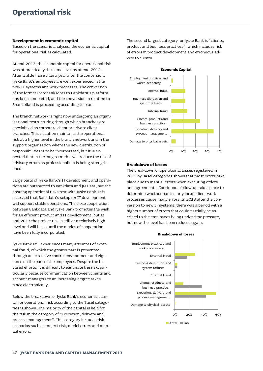### **Development in economic capital**

Based on the scenario analyses, the economic capital for operational risk is calculated.

At end-2013, the economic capital for operational risk was at practically the same level as at end-2012. After a little more than a year after the conversion, Jyske Bank's employees are well experienced in the new IT systems and work processes. The conversion of the former Fjordbank Mors to Bankdata's platform has been completed, and the conversion in relation to Spar Lolland is proceeding according to plan.

The branch network is right now undergoing an organisational restructuring through which branches are specialised as corporate client or private client branches. This situation maintains the operational risk at a higher level in the branch network and in the support organisation where the new distribution of responsibilities is to be incorporated, but it is expected that in the long term this will reduce the risk of advisory errors as professionalism is being strengthened.

Large parts of Jyske Bank's IT development and operations are outsourced to Bankdata and JN Data, but the ensuing operational risks rest with Jyske Bank. It is assessed that Bankdata's setup for IT development will support stable operations. The close cooperation between Bankdata and Jyske Bank promotes the wish for an efficient product and IT development, but at end-2013 the project risk is still at a relatively high level and will be so until the modes of cooperation have been fully incorporated.

Jyske Bank still experiences many attempts of external fraud, of which the greater part is prevented through an extensive control environment and vigilance on the part of the employees. Despite the focused efforts, it is difficult to eliminate the risk, particularly because communication between clients and account managers to an increasing degree takes place electronically.

Below the breakdown of Jyske Bank's economic capital for operational risk according to the Basel categories is shown. The majority of the capital is held for the risk in the category of "Execution, delivery and process management". This category includes risk scenarios such as project risk, model errors and manual errors.

The second largest category for Jyske Bank is "clients, product and business practices", which includes risk of errors in product development and erroneous advice to clients.



#### **Breakdown of losses**

The breakdown of operational losses registered in 2013 by Basel categories shows that most errors take place due to manual errors when executing orders and agreements. Continuous follow-up takes place to determine whether particularly inexpedient work processes cause many errors. In 2013 after the conversion to new IT systems, there was a period with a higher number of errors that could partially be ascribed to the employees being under time pressure, but now the level has been reduced again.

#### **Breakdown of losses**

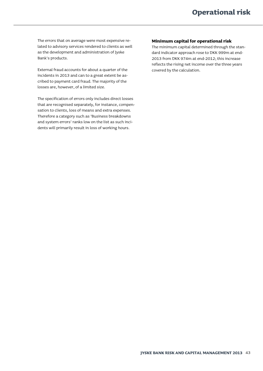The errors that on average were most expensive related to advisory services rendered to clients as well as the development and administration of Jyske Bank's products.

External fraud accounts for about a quarter of the incidents in 2013 and can to a great extent be ascribed to payment card fraud. The majority of the losses are, however, of a limited size.

The specification of errors only includes direct losses that are recognised separately, for instance, compensation to clients, loss of means and extra expenses. Therefore a category such as 'Business breakdowns and system errors' ranks low on the list as such incidents will primarily result in loss of working hours.

# **Minimum capital for operational risk**

The minimum capital determined through the standard indicator approach rose to DKK 999m at end-2013 from DKK 974m at end-2012; this increase reflects the rising net income over the three years covered by the calculation.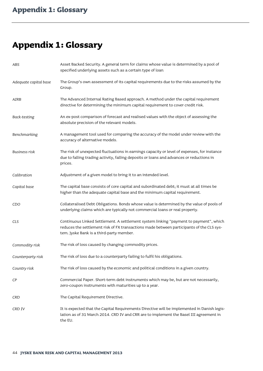# <span id="page-45-0"></span>**Appendix 1: Glossary**

| ABS                   | Asset Backed Security. A general term for claims whose value is determined by a pool of<br>specified underlying assets such as a certain type of loan                                                                         |
|-----------------------|-------------------------------------------------------------------------------------------------------------------------------------------------------------------------------------------------------------------------------|
| Adequate capital base | The Group's own assessment of its capital requirements due to the risks assumed by the<br>Group.                                                                                                                              |
| AIRB                  | The Advanced Internal Rating Based approach. A method under the capital requirement<br>directive for determining the minimum capital requirement to cover credit risk.                                                        |
| Back-testing          | An ex-post comparison of forecast and realised values with the object of assessing the<br>absolute precision of the relevant models.                                                                                          |
| Benchmarking          | A management tool used for comparing the accuracy of the model under review with the<br>accuracy of alternative models.                                                                                                       |
| <b>Business risk</b>  | The risk of unexpected fluctuations in earnings capacity or level of expenses, for instance<br>due to falling trading activity, falling deposits or loans and advances or reductions in<br>prices.                            |
| Calibration           | Adjustment of a given model to bring it to an intended level.                                                                                                                                                                 |
| Capital base          | The capital base consists of core capital and subordinated debt; it must at all times be<br>higher than the adequate capital base and the minimum capital requirement.                                                        |
| CDO                   | Collateralised Debt Obligations. Bonds whose value is determined by the value of pools of<br>underlying claims which are typically not commercial loans or real property.                                                     |
| <b>CLS</b>            | Continuous Linked Settlement. A settlement system linking "payment to payment", which<br>reduces the settlement risk of FX transactions made between participants of the CLS sys-<br>tem. Jyske Bank is a third-party member. |
| Commodity risk        | The risk of loss caused by changing commodity prices.                                                                                                                                                                         |
| Counterparty risk     | The risk of loss due to a counterparty failing to fulfil his obligations.                                                                                                                                                     |
| Country risk          | The risk of loss caused by the economic and political conditions in a given country.                                                                                                                                          |
| СP                    | Commercial Paper. Short-term debt instruments which may be, but are not necessarily,<br>zero-coupon instruments with maturities up to a year.                                                                                 |
| CRD                   | The Capital Requirement Directive.                                                                                                                                                                                            |
| CRD IV                | It is expected that the Capital Requirements Directive will be implemented in Danish legis-<br>lation as of 31 March 2014. CRD IV and CRR are to implement the Basel III agreement in<br>the EU.                              |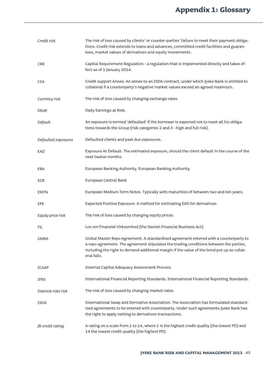# **Appendix 1: Glossary**

| Credit risk         | The risk of loss caused by clients' or counter-parties' failure to meet their payment obliga-<br>tions. Credit risk extends to loans and advances, committed credit facilities and guaran-<br>tees, market values of derivatives and equity investments.                                     |
|---------------------|----------------------------------------------------------------------------------------------------------------------------------------------------------------------------------------------------------------------------------------------------------------------------------------------|
| CRR                 | Capital Requirement Regulation - a regulation that is implemented directly and takes ef-<br>fect as of 1 January 2014.                                                                                                                                                                       |
| <b>CSA</b>          | Credit support Annex. An annex to an ISDA contract, under which Jyske Bank is entitled to<br>collateral if a counterparty's negative market values exceed an agreed maximum.                                                                                                                 |
| Currency risk       | The risk of loss caused by changing exchange rates.                                                                                                                                                                                                                                          |
| DEaR                | Daily Earnings at Risk.                                                                                                                                                                                                                                                                      |
| Default             | An exposure is termed 'defaulted' if the borrower is expected not to meet all his obliga-<br>tions towards the Group (risk categories 2 and 3 - high and full risk).                                                                                                                         |
| Defaulted exposures | Defaulted clients and past due exposures.                                                                                                                                                                                                                                                    |
| EAD                 | Exposure At Default. The estimated exposure, should the client default in the course of the<br>next twelve months.                                                                                                                                                                           |
| EBA                 | European Banking Authority. European Banking Authority.                                                                                                                                                                                                                                      |
| ECB                 | European Central Bank                                                                                                                                                                                                                                                                        |
| <b>EMTN</b>         | European Medium Term Notes. Typically with maturities of between two and ten years.                                                                                                                                                                                                          |
| EPE                 | Expected Positive Exposure. A method for estimating EAD for derivatives.                                                                                                                                                                                                                     |
| Equity price risk   | The risk of loss caused by changing equity prices.                                                                                                                                                                                                                                           |
| Fil                 | Lov om Finansiel Virksomhed (the Danish Financial Business Act).                                                                                                                                                                                                                             |
| <b>GMRA</b>         | Global Master Repo Agreement. A standardised agreement entered with a counterparty to<br>a repo agreement. The agreement stipulates the trading conditions between the parties,<br>including the right to demand additional margin if the value of the bond put up as collat-<br>eral falls. |
| <b>ICAAP</b>        | Internal Capital Adequacy Assessment Process.                                                                                                                                                                                                                                                |
| IFRS                | International Financial Reporting Standards. International Financial Reporting Standards.                                                                                                                                                                                                    |
| Interest-rate risk  | The risk of loss caused by changing market rates.                                                                                                                                                                                                                                            |
| <b>ISDA</b>         | International Swap and Derivative Association. The Association has formulated standard-<br>ised agreements to be entered with counterparty. Under such agreements Jyske Bank has<br>the right to apply netting to derivatives transactions.                                                  |
| JB credit rating    | A rating on a scale from 1 to 14, where 1 is the highest credit quality (the lowest PD) and<br>14 the lowest credit quality (the highest PD).                                                                                                                                                |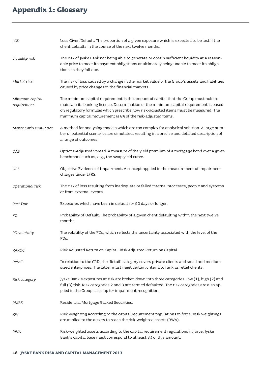# **Appendix 1: Glossary**

| LGD                            | Loss Given Default. The proportion of a given exposure which is expected to be lost if the<br>client defaults in the course of the next twelve months.                                                                                                                                                                                   |
|--------------------------------|------------------------------------------------------------------------------------------------------------------------------------------------------------------------------------------------------------------------------------------------------------------------------------------------------------------------------------------|
| Liquidity risk                 | The risk of Jyske Bank not being able to generate or obtain sufficient liquidity at a reason-<br>able price to meet its payment obligations or ultimately being unable to meet its obliga-<br>tions as they fall due.                                                                                                                    |
| Market risk                    | The risk of loss caused by a change in the market value of the Group's assets and liabilities<br>caused by price changes in the financial markets.                                                                                                                                                                                       |
| Minimum capital<br>requirement | The minimum capital requirement is the amount of capital that the Group must hold to<br>maintain its banking licence. Determination of the minimum capital requirement is based<br>on regulatory formulas which prescribe how risk-adjusted items must be measured. The<br>minimum capital requirement is 8% of the risk-adjusted items. |
| Monte Carlo simulation         | A method for analysing models which are too complex for analytical solution. A large num-<br>ber of potential scenarios are simulated, resulting in a precise and detailed description of<br>a range of outcomes.                                                                                                                        |
| OAS                            | Options-Adjusted Spread. A measure of the yield premium of a mortgage bond over a given<br>benchmark such as, e.g., the swap yield curve.                                                                                                                                                                                                |
| OEI                            | Objective Evidence of Impairment. A concept applied in the measurement of impairment<br>charges under IFRS.                                                                                                                                                                                                                              |
| Operational risk               | The risk of loss resulting from inadequate or failed internal processes, people and systems<br>or from external events.                                                                                                                                                                                                                  |
| Past Due                       | Exposures which have been in default for 90 days or longer.                                                                                                                                                                                                                                                                              |
| PD                             | Probability of Default. The probability of a given client defaulting within the next twelve<br>months.                                                                                                                                                                                                                                   |
| PD volatility                  | The volatility of the PDs, which reflects the uncertainty associated with the level of the<br>PDs.                                                                                                                                                                                                                                       |
| RAROC                          | Risk Adjusted Return on Capital. Risk Adjusted Return on Capital.                                                                                                                                                                                                                                                                        |
| Retail                         | In relation to the CRD, the 'Retail' category covers private clients and small and medium-<br>sized enterprises. The latter must meet certain criteria to rank as retail clients.                                                                                                                                                        |
| Risk category                  | Jyske Bank's exposures at risk are broken down into three categories: low (1), high (2) and<br>full (3) risk. Risk categories 2 and 3 are termed defaulted. The risk categories are also ap-<br>plied in the Group's set-up for impairment recognition.                                                                                  |
| <b>RMBS</b>                    | Residential Mortgage Backed Securities.                                                                                                                                                                                                                                                                                                  |
| RW                             | Risk weighting according to the capital requirement regulations in force. Risk weightings<br>are applied to the assets to reach the risk-weighted assets (RWA).                                                                                                                                                                          |
| <b>RWA</b>                     | Risk-weighted assets according to the capital requirement regulations in force. Jyske<br>Bank's capital base must correspond to at least 8% of this amount.                                                                                                                                                                              |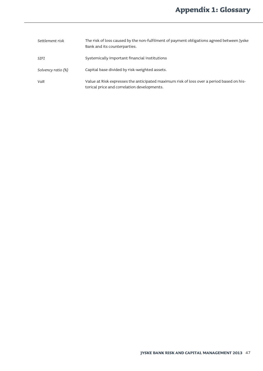| Settlement risk    | The risk of loss caused by the non-fulfilment of payment obligations agreed between Jyske<br>Bank and its counterparties.               |
|--------------------|-----------------------------------------------------------------------------------------------------------------------------------------|
| SIFI               | Systemically important financial institutions                                                                                           |
| Solvency ratio (%) | Capital base divided by risk-weighted assets.                                                                                           |
| VaR                | Value at Risk expresses the anticipated maximum risk of loss over a period based on his-<br>torical price and correlation developments. |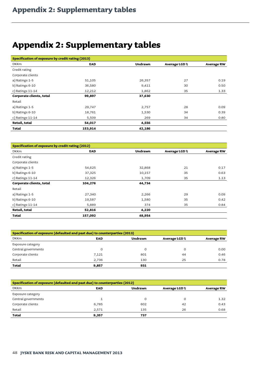# <span id="page-49-0"></span>**Appendix 2: Supplementary tables**

| Specification of exposure by credit rating (2013) |            |                |               |                   |  |  |
|---------------------------------------------------|------------|----------------|---------------|-------------------|--|--|
| <b>DKKm</b>                                       | <b>EAD</b> | <b>Undrawn</b> | Average LGD % | <b>Average RW</b> |  |  |
| Credit rating                                     |            |                |               |                   |  |  |
| Corporate clients                                 |            |                |               |                   |  |  |
| a) Ratings 1-5                                    | 51,105     | 26,357         | 27            | 0.19              |  |  |
| b) Ratings 6-10                                   | 36,580     | 9,411          | 30            | 0.50              |  |  |
| c) Ratings $11-14$                                | 12,212     | 1,862          | 35            | 1.33              |  |  |
| Corporate clients, total                          | 99,897     | 37,630         |               |                   |  |  |
| Retail                                            |            |                |               |                   |  |  |
| a) Ratings 1-5                                    | 29,747     | 2,757          | 28            | 0.09              |  |  |
| b) Ratings 6-10                                   | 18,761     | 1,530          | 34            | 0.39              |  |  |
| c) Ratings $11-14$                                | 5,509      | 269            | 34            | 0.80              |  |  |
| Retail, total                                     | 54,017     | 4,556          |               |                   |  |  |
| Total                                             | 153,914    | 42,186         |               |                   |  |  |

| Specification of exposure by credit rating (2012) |            |                |                      |                   |  |  |  |
|---------------------------------------------------|------------|----------------|----------------------|-------------------|--|--|--|
| <b>DKKm</b>                                       | <b>EAD</b> | <b>Undrawn</b> | <b>Average LGD %</b> | <b>Average RW</b> |  |  |  |
| Credit rating                                     |            |                |                      |                   |  |  |  |
| Corporate clients                                 |            |                |                      |                   |  |  |  |
| a) Ratings 1-5                                    | 54,625     | 32,868         | 21                   | 0.17              |  |  |  |
| b) Ratings 6-10                                   | 37,325     | 10,157         | 35                   | 0.63              |  |  |  |
| c) Ratings $11-14$                                | 12,326     | 1,709          | 35                   | 1.13              |  |  |  |
| Corporate clients, total                          | 104,276    | 44,734         |                      |                   |  |  |  |
| Retail                                            |            |                |                      |                   |  |  |  |
| a) Ratings 1-5                                    | 27,340     | 2,266          | 29                   | 0.09              |  |  |  |
| b) Ratings 6-10                                   | 19,587     | 1,580          | 35                   | 0.42              |  |  |  |
| c) Ratings $11-14$                                | 5,889      | 374            | 35                   | 0.84              |  |  |  |
| Retail, total                                     | 52,816     | 4,220          |                      |                   |  |  |  |
| Total                                             | 157,092    | 48,954         |                      |                   |  |  |  |

| Specification of exposure (defaulted and past due) to counterparties (2013) |            |                |               |                   |  |  |
|-----------------------------------------------------------------------------|------------|----------------|---------------|-------------------|--|--|
| <b>DKKm</b>                                                                 | <b>EAD</b> | <b>Undrawn</b> | Average LGD % | <b>Average RW</b> |  |  |
| Exposure category                                                           |            |                |               |                   |  |  |
| Central governments                                                         | O          | 0              | 0             | 0.00              |  |  |
| Corporate clients                                                           | 7,121      | 801            | 44            | 0.46              |  |  |
| Retail                                                                      | 2,736      | 130            | 25            | 0.78              |  |  |
| <b>Total</b>                                                                | 9,857      | 931            |               |                   |  |  |

| Specification of exposure (defaulted and past due) to counterparties (2012) |            |                |               |                   |  |  |
|-----------------------------------------------------------------------------|------------|----------------|---------------|-------------------|--|--|
| <b>DKKm</b>                                                                 | <b>EAD</b> | <b>Undrawn</b> | Average LGD % | <b>Average RW</b> |  |  |
| Exposure category                                                           |            |                |               |                   |  |  |
| Central governments                                                         |            | O              |               | 1.32              |  |  |
| Corporate clients                                                           | 6,785      | 602            | 42            | 0.43              |  |  |
| Retail                                                                      | 2,571      | 135            | 26            | 0.68              |  |  |
| <b>Total</b>                                                                | 9,357      | 737            |               |                   |  |  |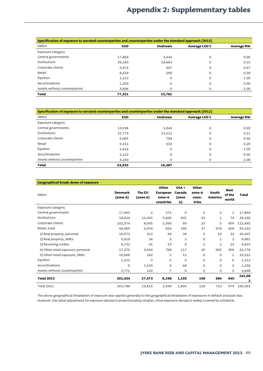# **Appendix 2: Supplementary tables**

| Specification of exposure to unrated counterparties and counterparties under the standard approach (2013) |            |                |                      |                   |  |  |
|-----------------------------------------------------------------------------------------------------------|------------|----------------|----------------------|-------------------|--|--|
| <b>DKKm</b>                                                                                               | <b>EAD</b> | <b>Undrawn</b> | <b>Average LGD %</b> | <b>Average RW</b> |  |  |
| Exposure category                                                                                         |            |                |                      |                   |  |  |
| Central governments                                                                                       | 17,869     | 3,442          | $\circ$              | 0.00              |  |  |
| <b>Institutions</b>                                                                                       | 39,180     | 19,663         | $\circ$              | 0.10              |  |  |
| Corporate clients                                                                                         | 5,474      | 407            | $\circ$              | 0.47              |  |  |
| Retail                                                                                                    | 8,429      | 269            | $\circ$              | 0.28              |  |  |
| Equities                                                                                                  | 1,212      | $\mathbf 0$    | $\circ$              | 1.00              |  |  |
| Securitisations                                                                                           | 1,259      | $\Omega$       | $\circ$              | 0.00              |  |  |
| Assets without counterparties                                                                             | 3,898      |                | 0                    | 1.00              |  |  |
| <b>Total</b>                                                                                              | 77,321     | 23,781         |                      |                   |  |  |

| Specification of exposure to unrated counterparties and counterparties under the standard approach (2012) |            |                |               |                   |  |  |
|-----------------------------------------------------------------------------------------------------------|------------|----------------|---------------|-------------------|--|--|
| <b>DKKm</b>                                                                                               | <b>EAD</b> | <b>Undrawn</b> | Average LGD % | <b>Average RW</b> |  |  |
| Exposure category                                                                                         |            |                |               |                   |  |  |
| Central governments                                                                                       | 13,038     | 1,844          | $\circ$       | 0.00              |  |  |
| Institutions                                                                                              | 31,773     | 13,212         | $\circ$       | 0.11              |  |  |
| Corporate clients                                                                                         | 5,085      | 798            | $\circ$       | 0.46              |  |  |
| Retail                                                                                                    | 6,151      | 533            | $\circ$       | 0.29              |  |  |
| Equities                                                                                                  | 1,624      | $\circ$        | $\circ$       | 1.00              |  |  |
| Securitisations                                                                                           | 2,122      | $\Omega$       | $\circ$       | 0.00              |  |  |
| Assets without counterparties                                                                             | 4,140      | $\Omega$       | $\Omega$      | 1.00              |  |  |
| Total                                                                                                     | 63,933     | 16,387         |               |                   |  |  |

| <b>Geographical break-down of exposure</b> |                            |                    |                                                 |                                  |                                   |                  |                         |              |
|--------------------------------------------|----------------------------|--------------------|-------------------------------------------------|----------------------------------|-----------------------------------|------------------|-------------------------|--------------|
| <b>DKKm</b>                                | <b>Denmark</b><br>(zone A) | The EU<br>(zone A) | Other<br><b>European</b><br>zone-A<br>countries | $USA +$<br>Canada<br>(zone<br>A) | Other<br>zone-A<br>coun-<br>tries | South<br>America | Rest<br>of the<br>world | <b>Total</b> |
| Exposure category                          |                            |                    |                                                 |                                  |                                   |                  |                         |              |
| Central governments                        | 17,493                     | $\overline{4}$     | 371                                             | $\circ$                          | $\circ$                           | $\mathbf 0$      | $\mathbf{1}$            | 17,869       |
| Institutions                               | 18,624                     | 14,201             | 5,406                                           | 831                              | 43                                | $\mathbf{1}$     | 74                      | 39,180       |
| Corporate clients                          | 102,374                    | 8,005              | 1,560                                           | 69                               | 23                                | 5                | 456                     | 112,492      |
| Retail, total                              | 58,960                     | 4,078              | 854                                             | 166                              | 37                                | 678              | 409                     | 65,182       |
| 1) Real property, personal                 | 16,073                     | 212                | 46                                              | 28                               | 5                                 | 10               | 33                      | 16,407       |
| 2) Real property, SMEs                     | 6,819                      | 34                 | 3                                               | $\overline{2}$                   | $\circ$                           | $\mathbf{1}$     | 2                       | 6,861        |
| 3) Revolving credits                       | 8,732                      | 41                 | 15                                              | 8                                | $\overline{2}$                    | $\overline{2}$   | 15                      | 8,815        |
| 4) Other retail exposure, personal         | 17,270                     | 3,549              | 789                                             | 117                              | 30                                | 665              | 358                     | 22,778       |
| 5) Other retail exposure, SMEs             | 10,066                     | 242                | $\mathbf{1}$                                    | 11                               | $\mathsf{O}$                      | $\mathbf 0$      | $\mathbf{1}$            | 10,321       |
| Equities                                   | 1,212                      | $\circ$            | 0                                               | $\circ$                          | 0                                 | 0                | 0                       | 1,212        |
| Securitisations                            | O                          | 1,165              | $\circ$                                         | 89                               | 5                                 | O                | $\circ$                 | 1,259        |
| Assets without counterparties              | 3,771                      | 120                | $\overline{7}$                                  | $\circ$                          | $\circ$                           | O                | $\circ$                 | 3,898        |
| <b>Total 2013</b>                          | 202,434                    | 27,573             | 8,198                                           | 1,155                            | 108                               | 684              | 940                     | 241,09<br>2  |
| <b>Total 2012</b>                          | 203,788                    | 19,615             | 3,348                                           | 1,803                            | 128                               | 722              | 979                     | 230,383      |

The above geographical breakdown of exposure also applies generally to the geographical breakdown of exposures in default and past due. However, the value adjustment for exposure abroad is proportionately smaller, since exposure abroad is widely covered by collateral.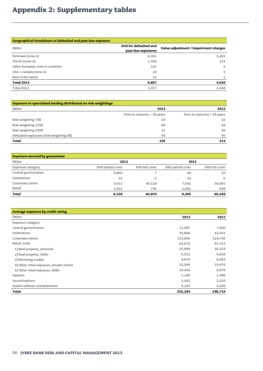# **Appendix 2: Supplementary tables**

| Geographical breakdown of defaulted and past due exposure |                              |                                      |
|-----------------------------------------------------------|------------------------------|--------------------------------------|
| <b>DKKm</b>                                               | <b>EAD for defaulted and</b> | Value adjustment /impairment charges |
|                                                           | past due exposures           |                                      |
| Denmark (zone A)                                          | 8,361                        | 3,491                                |
| The EU (zone A)                                           | 1,359                        | 121                                  |
| Other European zone-A countries                           | 101                          | 5                                    |
| USA + Canada (zone A)                                     | 22                           | 3                                    |
| Rest of the world                                         | 14                           |                                      |
| <b>Total 2013</b>                                         | 9,857                        | 3,620                                |
| <b>Total 2012</b>                                         | 9,357                        | 3,348                                |

| <b>Exposure to specialised lending distributed on risk weightings</b> |                                         |                                         |
|-----------------------------------------------------------------------|-----------------------------------------|-----------------------------------------|
| <b>DKKm</b>                                                           | 2013                                    | 2012                                    |
|                                                                       | Term to maturity > $2\frac{1}{2}$ years | Term to maturity $> 2\frac{1}{2}$ years |
| Risk weighting 70%                                                    | 10                                      | 15                                      |
| Risk weighting 115%                                                   | 68                                      | 68                                      |
| Risk weighting 250%                                                   | 12                                      | 46                                      |
| Defaulted exposures (risk weighting 0%)                               | 60                                      | 85                                      |
| <b>Total</b>                                                          | 150                                     | 214                                     |

| <b>Exposure secured by guarantees</b> |                   |                |                   |                       |
|---------------------------------------|-------------------|----------------|-------------------|-----------------------|
| <b>DKKm</b>                           | 2013              |                | 2012              |                       |
| Exposure category                     | EAD partial cover | EAD full cover | EAD partial cover | <b>EAD full cover</b> |
| Central governments                   | 3,669             |                | 49                | 10                    |
| Institutions                          | 16                | 0              | 24                | $\circ$               |
| Corporate clients                     | 3,612             | 40,118         | 7,641             | 39,591                |
| Retail                                | 1,931             | 745            | 1,651             | 838                   |
| Total                                 | 9,228             | 40,870         | 9,365             | 40,439                |

| Average exposure by credit rating         |         |         |
|-------------------------------------------|---------|---------|
| <b>DKKm</b>                               | 2013    | 2012    |
| Exposure category                         |         |         |
| Central governments                       | 12,587  | 7,800   |
| Institutions                              | 34,888  | 43,431  |
| Corporate clients                         | 113,856 | 118,735 |
| Retail, total                             | 64,079  | 61,212  |
| 1) Real property, personal                | 15,888  | 16,153  |
| 2) Real property, SMEs                    | 6,512   | 6,828   |
| 3) Revolving credits                      | 8,676   | 8,583   |
| 4) Other retail exposure, private clients | 22,599  | 19,670  |
| 5) Other retail exposure, SMEs            | 10,404  | 9,978   |
| Equities                                  | 1,199   | 1,086   |
| Securitisations                           | 1,582   | 2,165   |
| Assets without counterparties             | 4,102   | 4,290   |
| Total                                     | 232,293 | 238,719 |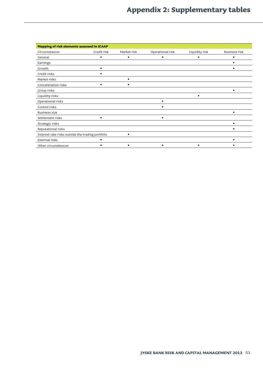| Mapping of risk elements assessed in ICAAP        |             |             |                  |                |                      |  |  |
|---------------------------------------------------|-------------|-------------|------------------|----------------|----------------------|--|--|
| Circumstances                                     | Credit risk | Market risk | Operational risk | Liquidity risk | <b>Business risk</b> |  |  |
| General                                           | ٠           |             |                  |                |                      |  |  |
| Earnings                                          |             |             |                  |                |                      |  |  |
| Growth                                            | ٠           |             |                  |                |                      |  |  |
| Credit risks                                      |             |             |                  |                |                      |  |  |
| Market risks                                      |             |             |                  |                |                      |  |  |
| Concentration risks                               | ٠           |             |                  |                |                      |  |  |
| Group risks                                       |             |             |                  |                | ٠                    |  |  |
| Liquidity risks                                   |             |             |                  |                |                      |  |  |
| Operational risks                                 |             |             |                  |                |                      |  |  |
| Control risks                                     |             |             |                  |                |                      |  |  |
| <b>Business size</b>                              |             |             |                  |                | ٠                    |  |  |
| Settlement risks                                  | ٠           |             |                  |                |                      |  |  |
| Strategic risks                                   |             |             |                  |                | ٠                    |  |  |
| Reputational risks                                |             |             |                  |                |                      |  |  |
| Interest rate risks outside the trading portfolio |             |             |                  |                |                      |  |  |
| External risks                                    |             |             |                  |                | ٠                    |  |  |
| Other circumstances                               |             |             |                  |                |                      |  |  |